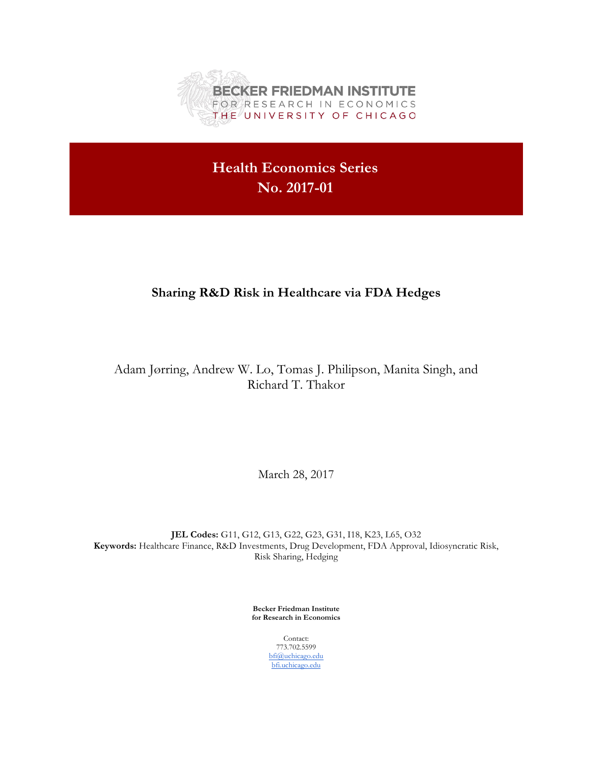

# **Health Economics Series No. 2017-01**

# **Sharing R&D Risk in Healthcare via FDA Hedges**

Adam Jørring, Andrew W. Lo, Tomas J. Philipson, Manita Singh, and Richard T. Thakor

March 28, 2017

**JEL Codes:** G11, G12, G13, G22, G23, G31, I18, K23, L65, O32 **Keywords:** Healthcare Finance, R&D Investments, Drug Development, FDA Approval, Idiosyncratic Risk, Risk Sharing, Hedging

> **Becker Friedman Institute for Research in Economics**

> > Contact: 773.702.5599 bfi@uchicago.edu bfi.uchicago.edu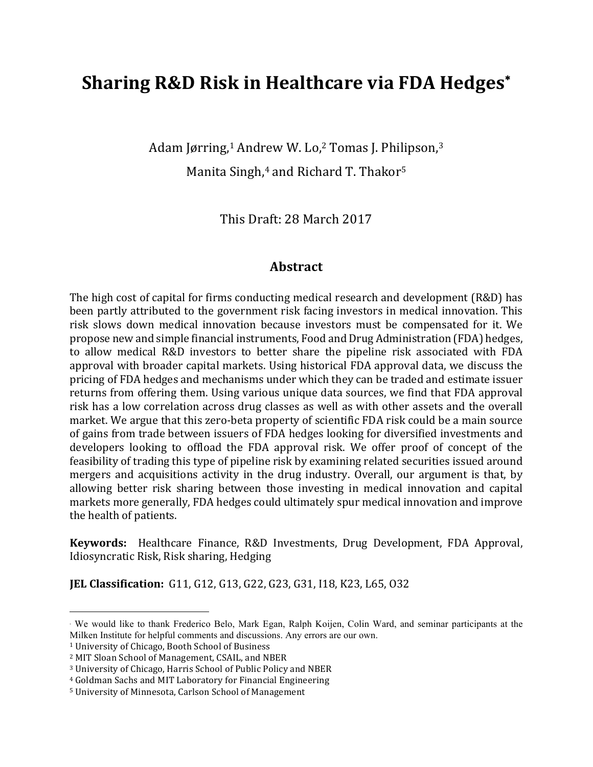# **Sharing R&D Risk in Healthcare via FDA Hedges**<sup>∗</sup>

Adam Jørring,<sup>1</sup> Andrew W. Lo,<sup>2</sup> Tomas J. Philipson,<sup>3</sup> Manita Singh,<sup>4</sup> and Richard T. Thakor<sup>5</sup>

This Draft: 28 March 2017

### **Abstract**

The high cost of capital for firms conducting medical research and development (R&D) has been partly attributed to the government risk facing investors in medical innovation. This risk slows down medical innovation because investors must be compensated for it. We propose new and simple financial instruments, Food and Drug Administration (FDA) hedges, to allow medical R&D investors to better share the pipeline risk associated with FDA approval with broader capital markets. Using historical FDA approval data, we discuss the pricing of FDA hedges and mechanisms under which they can be traded and estimate issuer returns from offering them. Using various unique data sources, we find that FDA approval risk has a low correlation across drug classes as well as with other assets and the overall market. We argue that this zero-beta property of scientific FDA risk could be a main source of gains from trade between issuers of FDA hedges looking for diversified investments and developers looking to offload the FDA approval risk. We offer proof of concept of the feasibility of trading this type of pipeline risk by examining related securities issued around mergers and acquisitions activity in the drug industry. Overall, our argument is that, by allowing better risk sharing between those investing in medical innovation and capital markets more generally, FDA hedges could ultimately spur medical innovation and improve the health of patients.

Keywords: Healthcare Finance, R&D Investments, Drug Development, FDA Approval, Idiosyncratic Risk, Risk sharing, Hedging

**JEL Classification:** G11, G12, G13, G22, G23, G31, I18, K23, L65, O32

<sup>∗</sup> We would like to thank Frederico Belo, Mark Egan, Ralph Koijen, Colin Ward, and seminar participants at the Milken Institute for helpful comments and discussions. Any errors are our own.

<sup>&</sup>lt;sup>1</sup> University of Chicago, Booth School of Business

<sup>&</sup>lt;sup>2</sup> MIT Sloan School of Management, CSAIL, and NBER

<sup>&</sup>lt;sup>3</sup> University of Chicago, Harris School of Public Policy and NBER

<sup>&</sup>lt;sup>4</sup> Goldman Sachs and MIT Laboratory for Financial Engineering

<sup>&</sup>lt;sup>5</sup> University of Minnesota, Carlson School of Management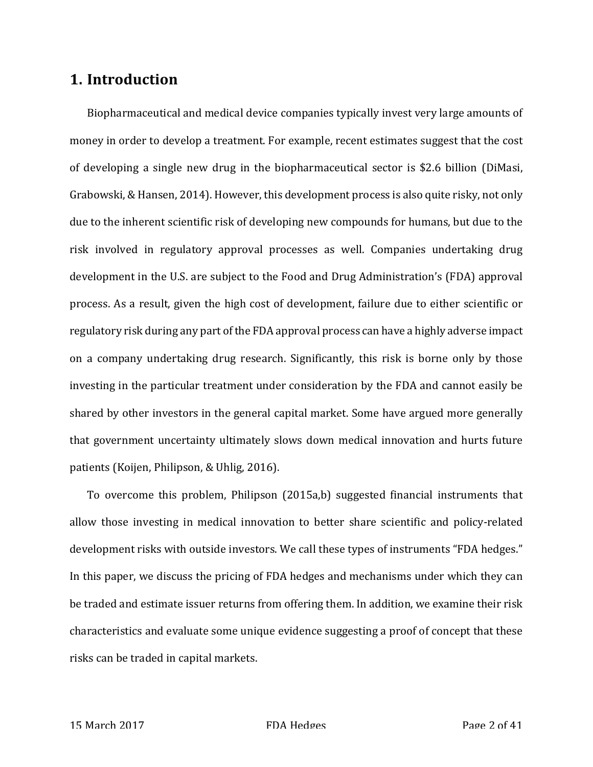# **1. Introduction**

Biopharmaceutical and medical device companies typically invest very large amounts of money in order to develop a treatment. For example, recent estimates suggest that the cost of developing a single new drug in the biopharmaceutical sector is \$2.6 billion (DiMasi, Grabowski, & Hansen, 2014). However, this development process is also quite risky, not only due to the inherent scientific risk of developing new compounds for humans, but due to the risk involved in regulatory approval processes as well. Companies undertaking drug development in the U.S. are subject to the Food and Drug Administration's (FDA) approval process. As a result, given the high cost of development, failure due to either scientific or regulatory risk during any part of the FDA approval process can have a highly adverse impact on a company undertaking drug research. Significantly, this risk is borne only by those investing in the particular treatment under consideration by the FDA and cannot easily be shared by other investors in the general capital market. Some have argued more generally that government uncertainty ultimately slows down medical innovation and hurts future patients (Koijen, Philipson, & Uhlig, 2016).

To overcome this problem, Philipson (2015a,b) suggested financial instruments that allow those investing in medical innovation to better share scientific and policy-related development risks with outside investors. We call these types of instruments "FDA hedges." In this paper, we discuss the pricing of FDA hedges and mechanisms under which they can be traded and estimate issuer returns from offering them. In addition, we examine their risk characteristics and evaluate some unique evidence suggesting a proof of concept that these risks can be traded in capital markets.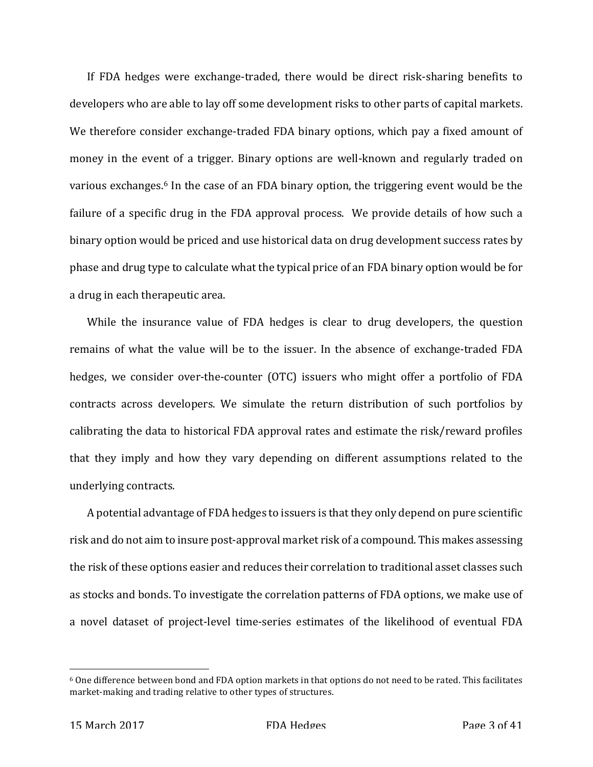If FDA hedges were exchange-traded, there would be direct risk-sharing benefits to developers who are able to lay off some development risks to other parts of capital markets. We therefore consider exchange-traded FDA binary options, which pay a fixed amount of money in the event of a trigger. Binary options are well-known and regularly traded on various exchanges.<sup>6</sup> In the case of an FDA binary option, the triggering event would be the failure of a specific drug in the FDA approval process. We provide details of how such a binary option would be priced and use historical data on drug development success rates by phase and drug type to calculate what the typical price of an FDA binary option would be for a drug in each therapeutic area.

While the insurance value of FDA hedges is clear to drug developers, the question remains of what the value will be to the issuer. In the absence of exchange-traded FDA hedges, we consider over-the-counter (OTC) issuers who might offer a portfolio of FDA contracts across developers. We simulate the return distribution of such portfolios by calibrating the data to historical FDA approval rates and estimate the risk/reward profiles that they imply and how they vary depending on different assumptions related to the underlying contracts.

A potential advantage of FDA hedges to issuers is that they only depend on pure scientific risk and do not aim to insure post-approval market risk of a compound. This makes assessing the risk of these options easier and reduces their correlation to traditional asset classes such as stocks and bonds. To investigate the correlation patterns of FDA options, we make use of a novel dataset of project-level time-series estimates of the likelihood of eventual FDA

 $6$  One difference between bond and FDA option markets in that options do not need to be rated. This facilitates market-making and trading relative to other types of structures.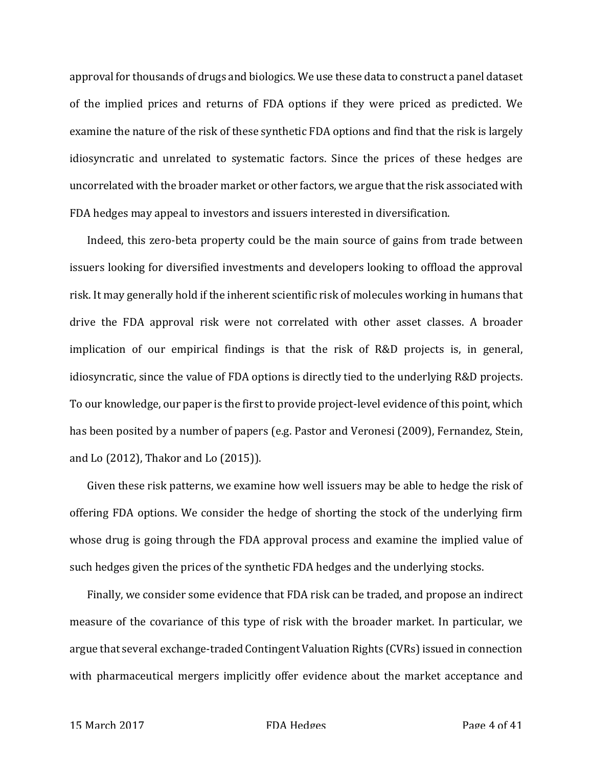approval for thousands of drugs and biologics. We use these data to construct a panel dataset of the implied prices and returns of FDA options if they were priced as predicted. We examine the nature of the risk of these synthetic FDA options and find that the risk is largely idiosyncratic and unrelated to systematic factors. Since the prices of these hedges are uncorrelated with the broader market or other factors, we argue that the risk associated with FDA hedges may appeal to investors and issuers interested in diversification.

Indeed, this zero-beta property could be the main source of gains from trade between issuers looking for diversified investments and developers looking to offload the approval risk. It may generally hold if the inherent scientific risk of molecules working in humans that drive the FDA approval risk were not correlated with other asset classes. A broader implication of our empirical findings is that the risk of R&D projects is, in general, idiosyncratic, since the value of FDA options is directly tied to the underlying R&D projects. To our knowledge, our paper is the first to provide project-level evidence of this point, which has been posited by a number of papers (e.g. Pastor and Veronesi (2009), Fernandez, Stein, and Lo (2012), Thakor and Lo (2015)).

Given these risk patterns, we examine how well issuers may be able to hedge the risk of offering FDA options. We consider the hedge of shorting the stock of the underlying firm whose drug is going through the FDA approval process and examine the implied value of such hedges given the prices of the synthetic FDA hedges and the underlying stocks.

Finally, we consider some evidence that FDA risk can be traded, and propose an indirect measure of the covariance of this type of risk with the broader market. In particular, we argue that several exchange-traded Contingent Valuation Rights (CVRs) issued in connection with pharmaceutical mergers implicitly offer evidence about the market acceptance and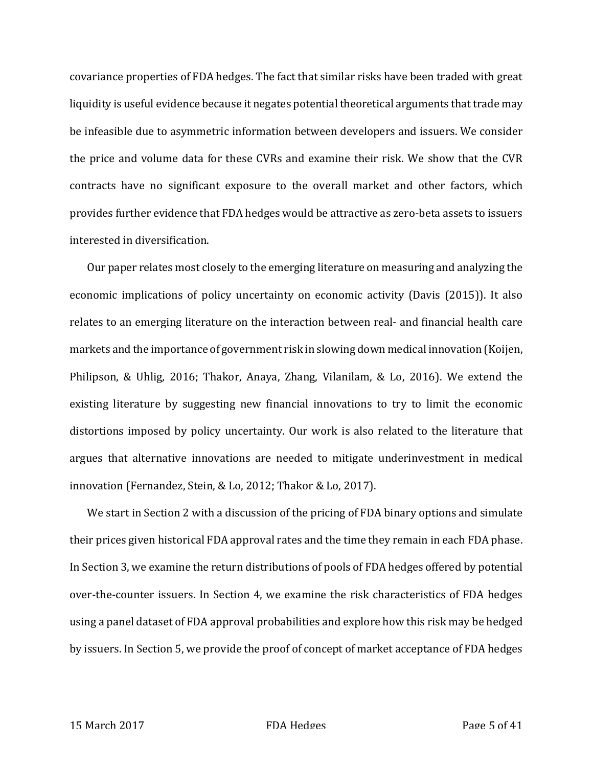covariance properties of FDA hedges. The fact that similar risks have been traded with great liquidity is useful evidence because it negates potential theoretical arguments that trade may be infeasible due to asymmetric information between developers and issuers. We consider the price and volume data for these CVRs and examine their risk. We show that the CVR contracts have no significant exposure to the overall market and other factors, which provides further evidence that FDA hedges would be attractive as zero-beta assets to issuers interested in diversification.

Our paper relates most closely to the emerging literature on measuring and analyzing the economic implications of policy uncertainty on economic activity (Davis (2015)). It also relates to an emerging literature on the interaction between real- and financial health care markets and the importance of government risk in slowing down medical innovation (Koijen, Philipson, & Uhlig, 2016; Thakor, Anaya, Zhang, Vilanilam, & Lo, 2016). We extend the existing literature by suggesting new financial innovations to try to limit the economic distortions imposed by policy uncertainty. Our work is also related to the literature that argues that alternative innovations are needed to mitigate underinvestment in medical innovation (Fernandez, Stein, & Lo, 2012; Thakor & Lo, 2017).

We start in Section 2 with a discussion of the pricing of FDA binary options and simulate their prices given historical FDA approval rates and the time they remain in each FDA phase. In Section 3, we examine the return distributions of pools of FDA hedges offered by potential over-the-counter issuers. In Section 4, we examine the risk characteristics of FDA hedges using a panel dataset of FDA approval probabilities and explore how this risk may be hedged by issuers. In Section 5, we provide the proof of concept of market acceptance of FDA hedges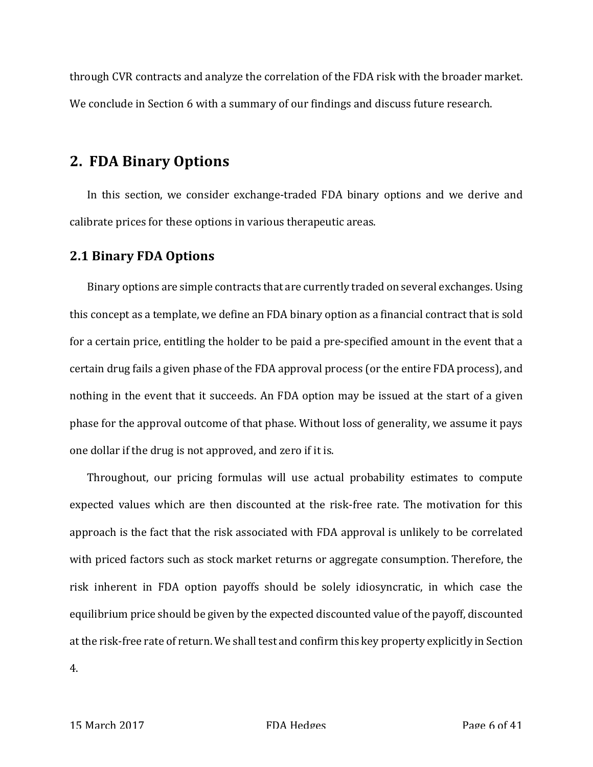through CVR contracts and analyze the correlation of the FDA risk with the broader market. We conclude in Section 6 with a summary of our findings and discuss future research.

# **2. FDA Binary Options**

In this section, we consider exchange-traded FDA binary options and we derive and calibrate prices for these options in various therapeutic areas.

### **2.1 Binary FDA Options**

Binary options are simple contracts that are currently traded on several exchanges. Using this concept as a template, we define an FDA binary option as a financial contract that is sold for a certain price, entitling the holder to be paid a pre-specified amount in the event that a certain drug fails a given phase of the FDA approval process (or the entire FDA process), and nothing in the event that it succeeds. An FDA option may be issued at the start of a given phase for the approval outcome of that phase. Without loss of generality, we assume it pays one dollar if the drug is not approved, and zero if it is.

Throughout, our pricing formulas will use actual probability estimates to compute expected values which are then discounted at the risk-free rate. The motivation for this approach is the fact that the risk associated with FDA approval is unlikely to be correlated with priced factors such as stock market returns or aggregate consumption. Therefore, the risk inherent in FDA option payoffs should be solely idiosyncratic, in which case the equilibrium price should be given by the expected discounted value of the payoff, discounted at the risk-free rate of return. We shall test and confirm this key property explicitly in Section 4.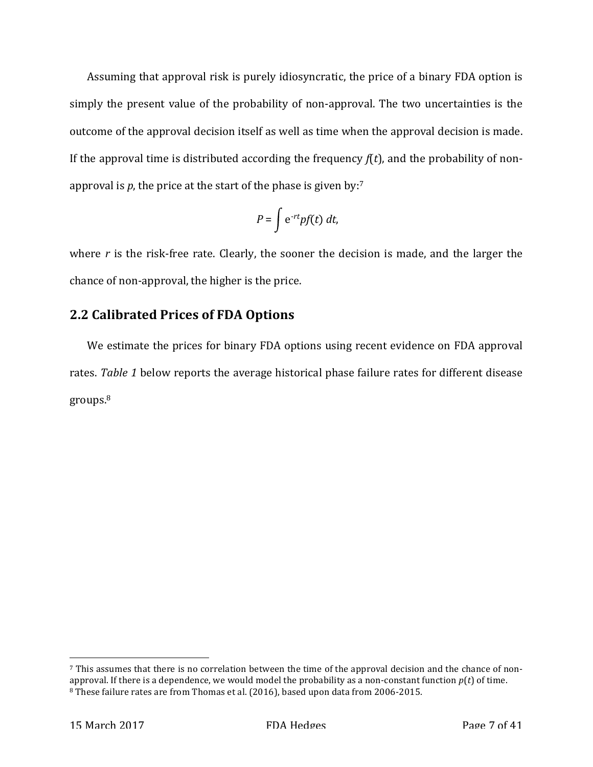Assuming that approval risk is purely idiosyncratic, the price of a binary FDA option is simply the present value of the probability of non-approval. The two uncertainties is the outcome of the approval decision itself as well as time when the approval decision is made. If the approval time is distributed according the frequency  $f(t)$ , and the probability of nonapproval is  $p$ , the price at the start of the phase is given by:<sup>7</sup>

$$
P = \int e^{-rt} pf(t) dt,
$$

where  $r$  is the risk-free rate. Clearly, the sooner the decision is made, and the larger the chance of non-approval, the higher is the price.

### **2.2 Calibrated Prices of FDA Options**

We estimate the prices for binary FDA options using recent evidence on FDA approval rates. Table 1 below reports the average historical phase failure rates for different disease groups.8

 $\frac{7}{7}$  This assumes that there is no correlation between the time of the approval decision and the chance of nonapproval. If there is a dependence, we would model the probability as a non-constant function  $p(t)$  of time. <sup>8</sup> These failure rates are from Thomas et al. (2016), based upon data from 2006-2015.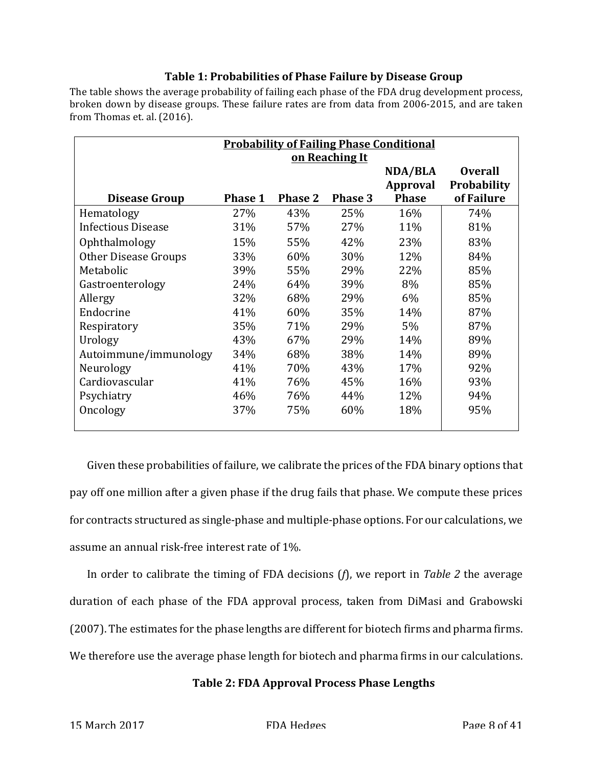### **Table 1: Probabilities of Phase Failure by Disease Group**

The table shows the average probability of failing each phase of the FDA drug development process, broken down by disease groups. These failure rates are from data from 2006-2015, and are taken from Thomas et. al. (2016).

|                             | <b>Probability of Failing Phase Conditional</b> |                |                |                 |                    |  |  |
|-----------------------------|-------------------------------------------------|----------------|----------------|-----------------|--------------------|--|--|
|                             |                                                 |                | on Reaching It |                 |                    |  |  |
|                             |                                                 |                |                | NDA/BLA         | <b>Overall</b>     |  |  |
|                             |                                                 |                |                | <b>Approval</b> | <b>Probability</b> |  |  |
| <b>Disease Group</b>        | Phase 1                                         | <b>Phase 2</b> | Phase 3        | <b>Phase</b>    | of Failure         |  |  |
| Hematology                  | 27%                                             | 43%            | 25%            | 16%             | 74%                |  |  |
| Infectious Disease          | 31%                                             | 57%            | 27%            | 11%             | 81%                |  |  |
| Ophthalmology               | 15%                                             | 55%            | 42%            | 23%             | 83%                |  |  |
| <b>Other Disease Groups</b> | 33%                                             | 60%            | 30%            | 12%             | 84%                |  |  |
| Metabolic                   | 39%                                             | 55%            | 29%            | 22%             | 85%                |  |  |
| Gastroenterology            | 24%                                             | 64%            | 39%            | 8%              | 85%                |  |  |
| Allergy                     | 32%                                             | 68%            | 29%            | 6%              | 85%                |  |  |
| Endocrine                   | 41%                                             | 60%            | 35%            | 14%             | 87%                |  |  |
| Respiratory                 | 35%                                             | 71%            | 29%            | 5%              | 87%                |  |  |
| Urology                     | 43%                                             | 67%            | 29%            | 14%             | 89%                |  |  |
| Autoimmune/immunology       | 34%                                             | 68%            | 38%            | 14%             | 89%                |  |  |
| Neurology                   | 41%                                             | 70%            | 43%            | 17%             | 92%                |  |  |
| Cardiovascular              | 41%                                             | 76%            | 45%            | 16%             | 93%                |  |  |
| Psychiatry                  | 46%                                             | 76%            | 44%            | 12%             | 94%                |  |  |
| Oncology                    | 37%                                             | 75%            | 60%            | 18%             | 95%                |  |  |

Given these probabilities of failure, we calibrate the prices of the FDA binary options that pay off one million after a given phase if the drug fails that phase. We compute these prices for contracts structured as single-phase and multiple-phase options. For our calculations, we assume an annual risk-free interest rate of 1%.

In order to calibrate the timing of FDA decisions (*f*), we report in *Table 2* the average duration of each phase of the FDA approval process, taken from DiMasi and Grabowski (2007). The estimates for the phase lengths are different for biotech firms and pharma firms. We therefore use the average phase length for biotech and pharma firms in our calculations.

### **Table 2: FDA Approval Process Phase Lengths**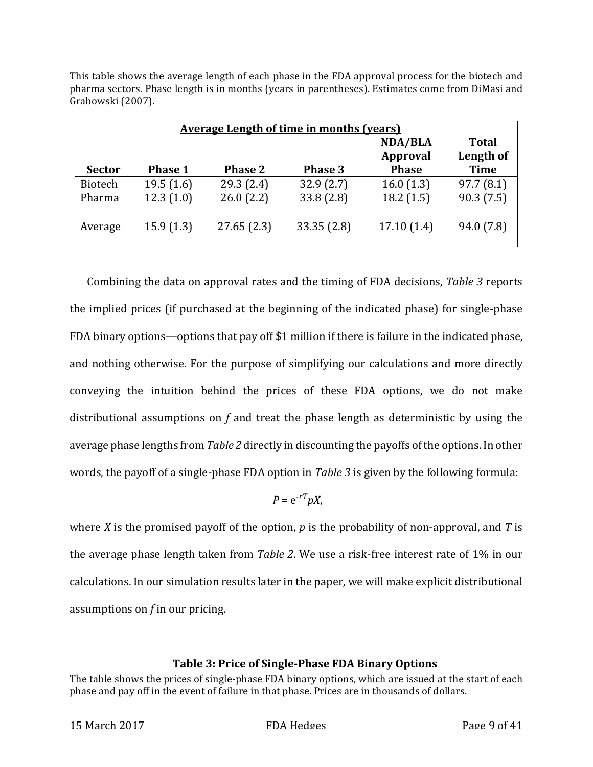|               | <b>Average Length of time in months (years)</b> |                |            |                                                   |                                          |  |  |  |  |  |  |
|---------------|-------------------------------------------------|----------------|------------|---------------------------------------------------|------------------------------------------|--|--|--|--|--|--|
| <b>Sector</b> | <b>Phase 1</b>                                  | <b>Phase 2</b> | Phase 3    | <b>NDA/BLA</b><br><b>Approval</b><br><b>Phase</b> | <b>Total</b><br>Length of<br><b>Time</b> |  |  |  |  |  |  |
| Biotech       | 19.5(1.6)                                       | 29.3(2.4)      | 32.9(2.7)  | 16.0(1.3)                                         | 97.7(8.1)                                |  |  |  |  |  |  |
| Pharma        | 12.3(1.0)                                       | 26.0(2.2)      | 33.8(2.8)  | 18.2(1.5)                                         | 90.3(7.5)                                |  |  |  |  |  |  |
| Average       | 15.9(1.3)                                       | 27.65(2.3)     | 33.35(2.8) | 17.10(1.4)                                        | 94.0 (7.8)                               |  |  |  |  |  |  |

This table shows the average length of each phase in the FDA approval process for the biotech and pharma sectors. Phase length is in months (years in parentheses). Estimates come from DiMasi and Grabowski (2007).

Combining the data on approval rates and the timing of FDA decisions, *Table 3* reports the implied prices (if purchased at the beginning of the indicated phase) for single-phase FDA binary options—options that pay off \$1 million if there is failure in the indicated phase, and nothing otherwise. For the purpose of simplifying our calculations and more directly conveying the intuition behind the prices of these FDA options, we do not make distributional assumptions on  $f$  and treat the phase length as deterministic by using the average phase lengths from *Table 2* directly in discounting the payoffs of the options. In other words, the payoff of a single-phase FDA option in *Table 3* is given by the following formula:

$$
P = e^{-rT} pX,
$$

where *X* is the promised payoff of the option,  $p$  is the probability of non-approval, and *T* is the average phase length taken from *Table 2*. We use a risk-free interest rate of 1% in our calculations. In our simulation results later in the paper, we will make explicit distributional assumptions on *f* in our pricing.

### **Table 3: Price of Single-Phase FDA Binary Options**

The table shows the prices of single-phase FDA binary options, which are issued at the start of each phase and pay off in the event of failure in that phase. Prices are in thousands of dollars.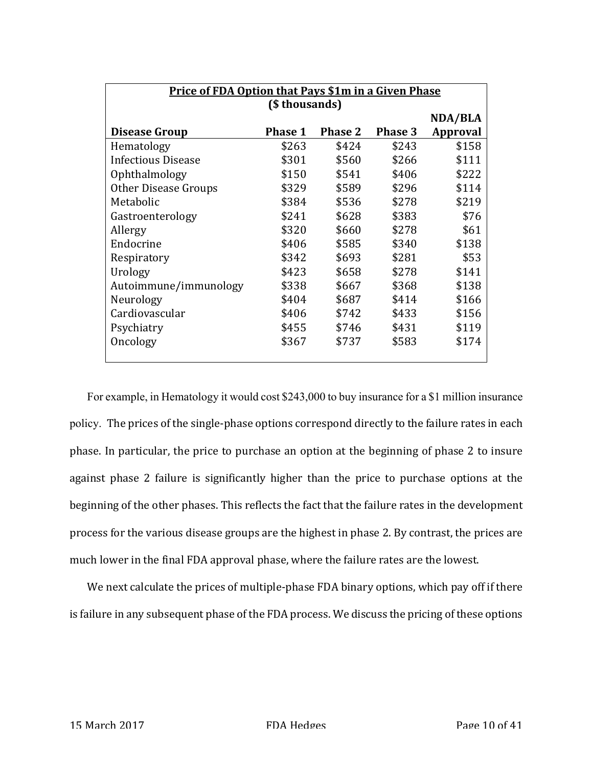| <b>Price of FDA Option that Pays \$1m in a Given Phase</b> |                |                |                |                 |  |  |  |  |
|------------------------------------------------------------|----------------|----------------|----------------|-----------------|--|--|--|--|
| (\$ thousands)                                             |                |                |                |                 |  |  |  |  |
|                                                            |                |                |                | NDA/BLA         |  |  |  |  |
| <b>Disease Group</b>                                       | <b>Phase 1</b> | <b>Phase 2</b> | <b>Phase 3</b> | <b>Approval</b> |  |  |  |  |
| Hematology                                                 | \$263          | \$424          | \$243          | \$158           |  |  |  |  |
| <b>Infectious Disease</b>                                  | \$301          | \$560          | \$266          | \$111           |  |  |  |  |
| Ophthalmology                                              | \$150          | \$541          | \$406          | \$222           |  |  |  |  |
| <b>Other Disease Groups</b>                                | \$329          | \$589          | \$296          | \$114           |  |  |  |  |
| Metabolic                                                  | \$384          | \$536          | \$278          | \$219           |  |  |  |  |
| Gastroenterology                                           | \$241          | \$628          | \$383          | \$76            |  |  |  |  |
| Allergy                                                    | \$320          | \$660          | \$278          | \$61            |  |  |  |  |
| Endocrine                                                  | \$406          | \$585          | \$340          | \$138           |  |  |  |  |
| Respiratory                                                | \$342          | \$693          | \$281          | \$53            |  |  |  |  |
| Urology                                                    | \$423          | \$658          | \$278          | \$141           |  |  |  |  |
| Autoimmune/immunology                                      | \$338          | \$667          | \$368          | \$138           |  |  |  |  |
| Neurology                                                  | \$404          | \$687          | \$414          | \$166           |  |  |  |  |
| Cardiovascular                                             | \$406          | \$742          | \$433          | \$156           |  |  |  |  |
| Psychiatry                                                 | \$455          | \$746          | \$431          | \$119           |  |  |  |  |
| Oncology                                                   | \$367          | \$737          | \$583          | \$174           |  |  |  |  |

For example, in Hematology it would cost \$243,000 to buy insurance for a \$1 million insurance policy. The prices of the single-phase options correspond directly to the failure rates in each phase. In particular, the price to purchase an option at the beginning of phase 2 to insure against phase 2 failure is significantly higher than the price to purchase options at the beginning of the other phases. This reflects the fact that the failure rates in the development process for the various disease groups are the highest in phase 2. By contrast, the prices are much lower in the final FDA approval phase, where the failure rates are the lowest.

We next calculate the prices of multiple-phase FDA binary options, which pay off if there is failure in any subsequent phase of the FDA process. We discuss the pricing of these options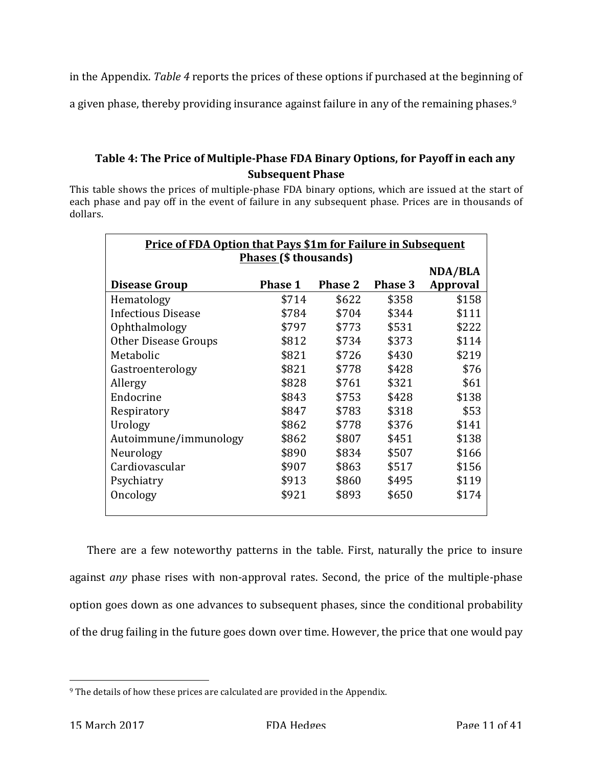in the Appendix. *Table* 4 reports the prices of these options if purchased at the beginning of

a given phase, thereby providing insurance against failure in any of the remaining phases.<sup>9</sup>

### Table 4: The Price of Multiple-Phase FDA Binary Options, for Payoff in each any **Subsequent Phase**

This table shows the prices of multiple-phase FDA binary options, which are issued at the start of each phase and pay off in the event of failure in any subsequent phase. Prices are in thousands of dollars.

| <b>Price of FDA Option that Pays \$1m for Failure in Subsequent</b> |                |                |                |                 |  |  |  |  |
|---------------------------------------------------------------------|----------------|----------------|----------------|-----------------|--|--|--|--|
| <b>Phases (\$ thousands)</b>                                        |                |                |                |                 |  |  |  |  |
|                                                                     |                |                |                | NDA/BLA         |  |  |  |  |
| <b>Disease Group</b>                                                | <b>Phase 1</b> | <b>Phase 2</b> | <b>Phase 3</b> | <b>Approval</b> |  |  |  |  |
| Hematology                                                          | \$714          | \$622          | \$358          | \$158           |  |  |  |  |
| Infectious Disease                                                  | \$784          | \$704          | \$344          | \$111           |  |  |  |  |
| Ophthalmology                                                       | \$797          | \$773          | \$531          | \$222           |  |  |  |  |
| <b>Other Disease Groups</b>                                         | \$812          | \$734          | \$373          | \$114           |  |  |  |  |
| Metabolic                                                           | \$821          | \$726          | \$430          | \$219           |  |  |  |  |
| Gastroenterology                                                    | \$821          | \$778          | \$428          | \$76            |  |  |  |  |
| Allergy                                                             | \$828          | \$761          | \$321          | \$61            |  |  |  |  |
| Endocrine                                                           | \$843          | \$753          | \$428          | \$138           |  |  |  |  |
| Respiratory                                                         | \$847          | \$783          | \$318          | \$53            |  |  |  |  |
| Urology                                                             | \$862          | \$778          | \$376          | \$141           |  |  |  |  |
| Autoimmune/immunology                                               | \$862          | \$807          | \$451          | \$138           |  |  |  |  |
| Neurology                                                           | \$890          | \$834          | \$507          | \$166           |  |  |  |  |
| Cardiovascular                                                      | \$907          | \$863          | \$517          | \$156           |  |  |  |  |
| Psychiatry                                                          | \$913          | \$860          | \$495          | \$119           |  |  |  |  |
| Oncology                                                            | \$921          | \$893          | \$650          | \$174           |  |  |  |  |

There are a few noteworthy patterns in the table. First, naturally the price to insure against *any* phase rises with non-approval rates. Second, the price of the multiple-phase option goes down as one advances to subsequent phases, since the conditional probability of the drug failing in the future goes down over time. However, the price that one would pay

<sup>&</sup>lt;sup>9</sup> The details of how these prices are calculated are provided in the Appendix.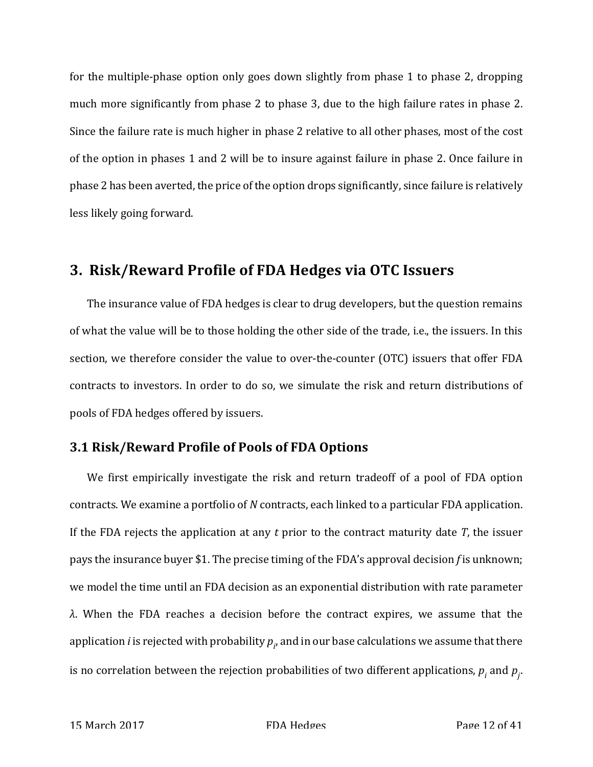for the multiple-phase option only goes down slightly from phase 1 to phase 2, dropping much more significantly from phase 2 to phase 3, due to the high failure rates in phase 2. Since the failure rate is much higher in phase 2 relative to all other phases, most of the cost of the option in phases 1 and 2 will be to insure against failure in phase 2. Once failure in phase 2 has been averted, the price of the option drops significantly, since failure is relatively less likely going forward.

### **3. Risk/Reward Profile of FDA Hedges via OTC Issuers**

The insurance value of FDA hedges is clear to drug developers, but the question remains of what the value will be to those holding the other side of the trade, i.e., the issuers. In this section, we therefore consider the value to over-the-counter (OTC) issuers that offer FDA contracts to investors. In order to do so, we simulate the risk and return distributions of pools of FDA hedges offered by issuers.

### **3.1 Risk/Reward Profile of Pools of FDA Options**

We first empirically investigate the risk and return tradeoff of a pool of FDA option contracts. We examine a portfolio of *N* contracts, each linked to a particular FDA application. If the FDA rejects the application at any  $t$  prior to the contract maturity date  $T$ , the issuer pays the insurance buyer \$1. The precise timing of the FDA's approval decision *f* is unknown; we model the time until an FDA decision as an exponential distribution with rate parameter λ. When the FDA reaches a decision before the contract expires, we assume that the application  $i$  is rejected with probability  $p_{i^\prime}$  and in our base calculations we assume that there is no correlation between the rejection probabilities of two different applications,  $p_{_i}$  and  $p_{_j}$ .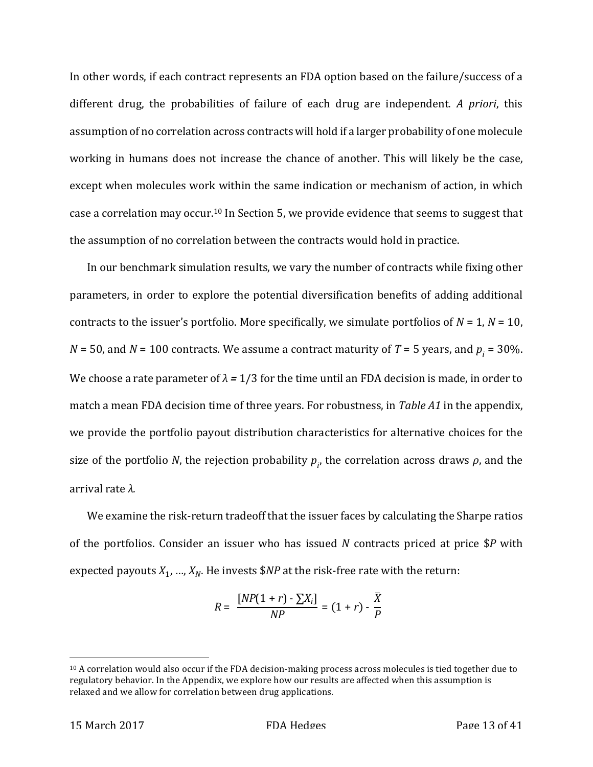In other words, if each contract represents an FDA option based on the failure/success of a different drug, the probabilities of failure of each drug are independent. *A priori*, this assumption of no correlation across contracts will hold if a larger probability of one molecule working in humans does not increase the chance of another. This will likely be the case, except when molecules work within the same indication or mechanism of action, in which case a correlation may occur.<sup>10</sup> In Section 5, we provide evidence that seems to suggest that the assumption of no correlation between the contracts would hold in practice.

In our benchmark simulation results, we vary the number of contracts while fixing other parameters, in order to explore the potential diversification benefits of adding additional contracts to the issuer's portfolio. More specifically, we simulate portfolios of  $N = 1$ ,  $N = 10$ , *N* = 50, and *N* = 100 contracts. We assume a contract maturity of *T* = 5 years, and  $p_i$  = 30%. We choose a rate parameter of  $\lambda$  = 1/3 for the time until an FDA decision is made, in order to match a mean FDA decision time of three years. For robustness, in *Table A1* in the appendix, we provide the portfolio payout distribution characteristics for alternative choices for the size of the portfolio *N*, the rejection probability  $p_{i'}$  the correlation across draws  $\rho$ , and the arrival rate *λ.*

We examine the risk-return tradeoff that the issuer faces by calculating the Sharpe ratios of the portfolios. Consider an issuer who has issued *N* contracts priced at price \$*P* with expected payouts  $X_1$ , ...,  $X_N$ . He invests \$*NP* at the risk-free rate with the return:

$$
R = \frac{[NP(1+r) - \sum X_i]}{NP} = (1+r) - \frac{\overline{X}}{P}
$$

 $10$  A correlation would also occur if the FDA decision-making process across molecules is tied together due to regulatory behavior. In the Appendix, we explore how our results are affected when this assumption is relaxed and we allow for correlation between drug applications.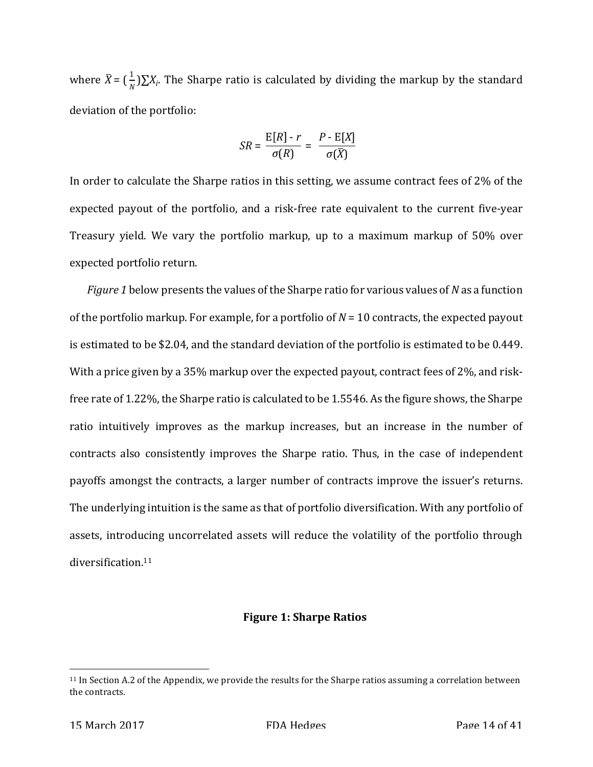where  $\bar{X}$  =  $(\frac{1}{N})\sum X_i$ . The Sharpe ratio is calculated by dividing the markup by the standard deviation of the portfolio:

$$
SR = \frac{\mathbf{E}[R] \cdot r}{\sigma(R)} = \frac{P \cdot \mathbf{E}[X]}{\sigma(\overline{X})}
$$

In order to calculate the Sharpe ratios in this setting, we assume contract fees of 2% of the expected payout of the portfolio, and a risk-free rate equivalent to the current five-year Treasury yield. We vary the portfolio markup, up to a maximum markup of 50% over expected portfolio return.

*Figure* 1 below presents the values of the Sharpe ratio for various values of *N* as a function of the portfolio markup. For example, for a portfolio of  $N = 10$  contracts, the expected payout is estimated to be \$2.04, and the standard deviation of the portfolio is estimated to be 0.449. With a price given by a 35% markup over the expected payout, contract fees of 2%, and riskfree rate of 1.22%, the Sharpe ratio is calculated to be 1.5546. As the figure shows, the Sharpe ratio intuitively improves as the markup increases, but an increase in the number of contracts also consistently improves the Sharpe ratio. Thus, in the case of independent payoffs amongst the contracts, a larger number of contracts improve the issuer's returns. The underlying intuition is the same as that of portfolio diversification. With any portfolio of assets, introducing uncorrelated assets will reduce the volatility of the portfolio through diversification.11

### **Figure 1: Sharpe Ratios**

 $11$  In Section A.2 of the Appendix, we provide the results for the Sharpe ratios assuming a correlation between the contracts.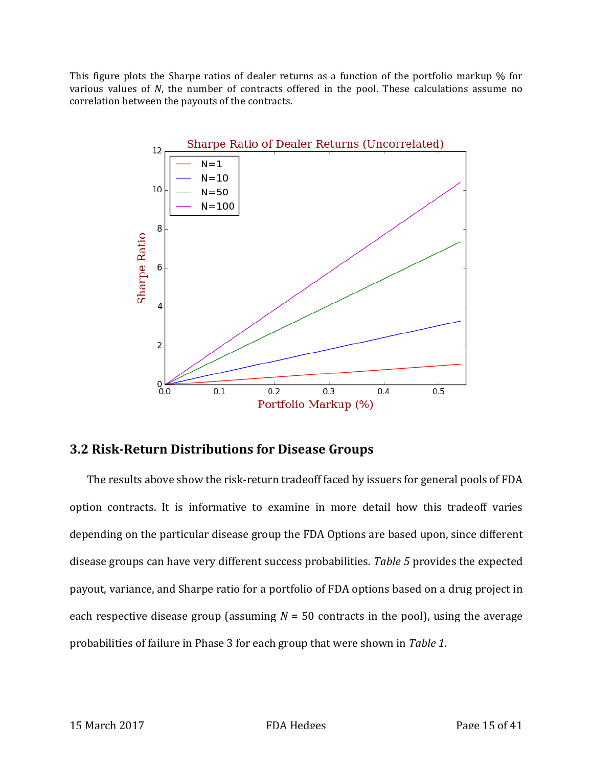This figure plots the Sharpe ratios of dealer returns as a function of the portfolio markup  $\%$  for various values of  $N$ , the number of contracts offered in the pool. These calculations assume no correlation between the payouts of the contracts.



### **3.2 Risk-Return Distributions for Disease Groups**

The results above show the risk-return tradeoff faced by issuers for general pools of FDA option contracts. It is informative to examine in more detail how this tradeoff varies depending on the particular disease group the FDA Options are based upon, since different disease groups can have very different success probabilities. Table 5 provides the expected payout, variance, and Sharpe ratio for a portfolio of FDA options based on a drug project in each respective disease group (assuming  $N = 50$  contracts in the pool), using the average probabilities of failure in Phase 3 for each group that were shown in Table 1.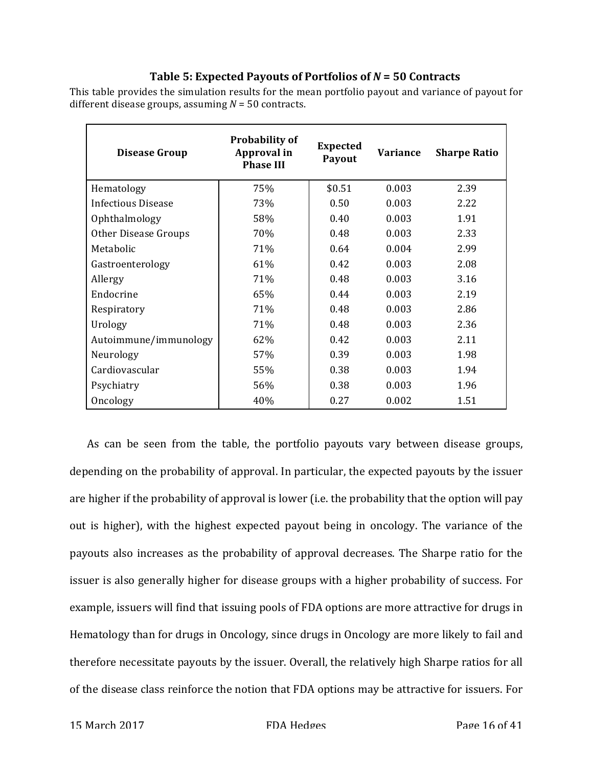### **Table 5: Expected Payouts of Portfolios of**  $N = 50$  **Contracts**

This table provides the simulation results for the mean portfolio payout and variance of payout for different disease groups, assuming  $N = 50$  contracts.

| <b>Disease Group</b>        | <b>Probability of</b><br>Approval in<br><b>Phase III</b> | <b>Expected</b><br>Payout | <b>Variance</b> | <b>Sharpe Ratio</b> |
|-----------------------------|----------------------------------------------------------|---------------------------|-----------------|---------------------|
| Hematology                  | 75%                                                      | \$0.51                    | 0.003           | 2.39                |
| Infectious Disease          | 73%                                                      | 0.50                      | 0.003           | 2.22                |
| Ophthalmology               | 58%                                                      | 0.40                      | 0.003           | 1.91                |
| <b>Other Disease Groups</b> | 70%                                                      | 0.48                      | 0.003           | 2.33                |
| Metabolic                   | 71%                                                      | 0.64                      | 0.004           | 2.99                |
| Gastroenterology            | 61%                                                      | 0.42                      | 0.003           | 2.08                |
| Allergy                     | 71%                                                      | 0.48                      | 0.003           | 3.16                |
| Endocrine                   | 65%                                                      | 0.44                      | 0.003           | 2.19                |
| Respiratory                 | 71%                                                      | 0.48                      | 0.003           | 2.86                |
| Urology                     | 71%                                                      | 0.48                      | 0.003           | 2.36                |
| Autoimmune/immunology       | 62%                                                      | 0.42                      | 0.003           | 2.11                |
| Neurology                   | 57%                                                      | 0.39                      | 0.003           | 1.98                |
| Cardiovascular              | 55%                                                      | 0.38                      | 0.003           | 1.94                |
| Psychiatry                  | 56%                                                      | 0.38                      | 0.003           | 1.96                |
| Oncology                    | 40%                                                      | 0.27                      | 0.002           | 1.51                |

As can be seen from the table, the portfolio payouts vary between disease groups, depending on the probability of approval. In particular, the expected payouts by the issuer are higher if the probability of approval is lower (i.e. the probability that the option will pay out is higher), with the highest expected payout being in oncology. The variance of the payouts also increases as the probability of approval decreases. The Sharpe ratio for the issuer is also generally higher for disease groups with a higher probability of success. For example, issuers will find that issuing pools of FDA options are more attractive for drugs in Hematology than for drugs in Oncology, since drugs in Oncology are more likely to fail and therefore necessitate payouts by the issuer. Overall, the relatively high Sharpe ratios for all of the disease class reinforce the notion that FDA options may be attractive for issuers. For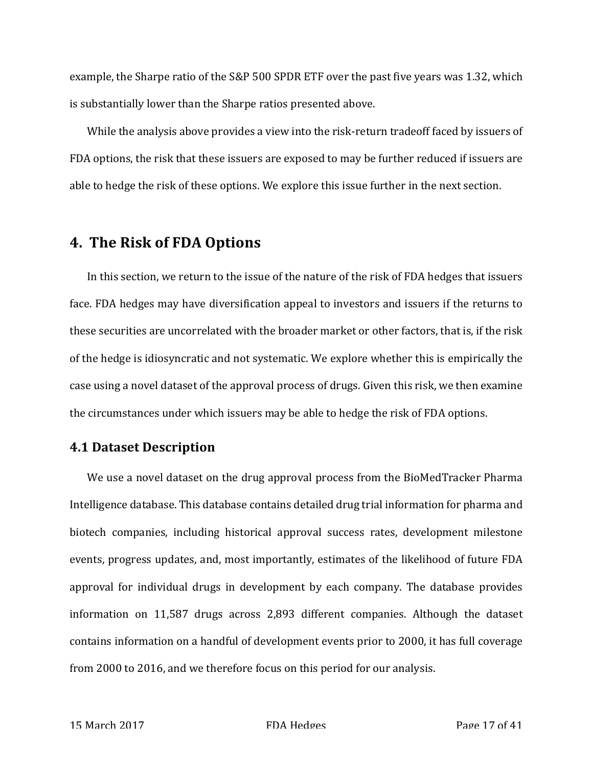example, the Sharpe ratio of the  $S\&P$  500 SPDR ETF over the past five years was 1.32, which is substantially lower than the Sharpe ratios presented above.

While the analysis above provides a view into the risk-return tradeoff faced by issuers of FDA options, the risk that these issuers are exposed to may be further reduced if issuers are able to hedge the risk of these options. We explore this issue further in the next section.

### **4. The Risk of FDA Options**

In this section, we return to the issue of the nature of the risk of FDA hedges that issuers face. FDA hedges may have diversification appeal to investors and issuers if the returns to these securities are uncorrelated with the broader market or other factors, that is, if the risk of the hedge is idiosyncratic and not systematic. We explore whether this is empirically the case using a novel dataset of the approval process of drugs. Given this risk, we then examine the circumstances under which issuers may be able to hedge the risk of FDA options.

### **4.1 Dataset Description**

We use a novel dataset on the drug approval process from the BioMedTracker Pharma Intelligence database. This database contains detailed drug trial information for pharma and biotech companies, including historical approval success rates, development milestone events, progress updates, and, most importantly, estimates of the likelihood of future FDA approval for individual drugs in development by each company. The database provides information on 11,587 drugs across 2,893 different companies. Although the dataset contains information on a handful of development events prior to 2000, it has full coverage from 2000 to 2016, and we therefore focus on this period for our analysis.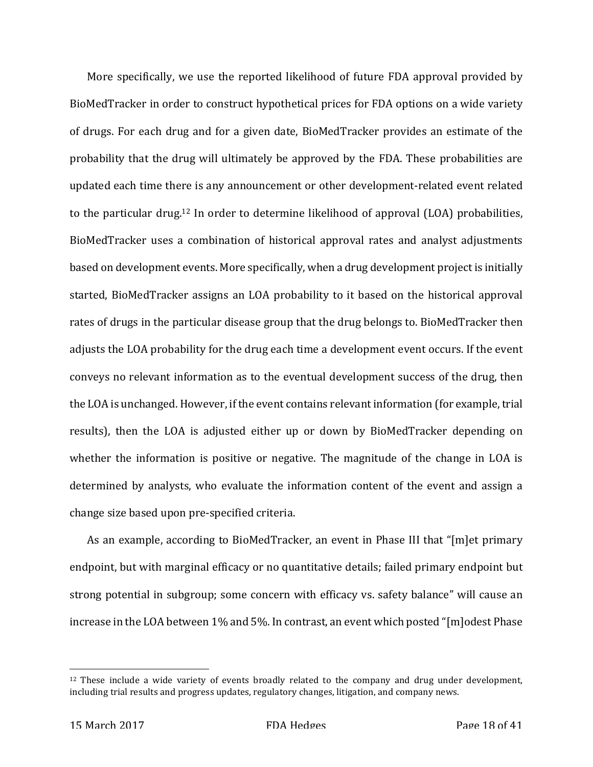More specifically, we use the reported likelihood of future FDA approval provided by BioMedTracker in order to construct hypothetical prices for FDA options on a wide variety of drugs. For each drug and for a given date, BioMedTracker provides an estimate of the probability that the drug will ultimately be approved by the FDA. These probabilities are updated each time there is any announcement or other development-related event related to the particular drug.<sup>12</sup> In order to determine likelihood of approval (LOA) probabilities, BioMedTracker uses a combination of historical approval rates and analyst adjustments based on development events. More specifically, when a drug development project is initially started, BioMedTracker assigns an LOA probability to it based on the historical approval rates of drugs in the particular disease group that the drug belongs to. BioMedTracker then adjusts the LOA probability for the drug each time a development event occurs. If the event conveys no relevant information as to the eventual development success of the drug, then the LOA is unchanged. However, if the event contains relevant information (for example, trial results), then the LOA is adjusted either up or down by BioMedTracker depending on whether the information is positive or negative. The magnitude of the change in LOA is determined by analysts, who evaluate the information content of the event and assign a change size based upon pre-specified criteria.

As an example, according to BioMedTracker, an event in Phase III that "[m]et primary endpoint, but with marginal efficacy or no quantitative details; failed primary endpoint but strong potential in subgroup; some concern with efficacy vs. safety balance" will cause an increase in the LOA between  $1\%$  and  $5\%$ . In contrast, an event which posted "[m]odest Phase

 $12$  These include a wide variety of events broadly related to the company and drug under development, including trial results and progress updates, regulatory changes, litigation, and company news.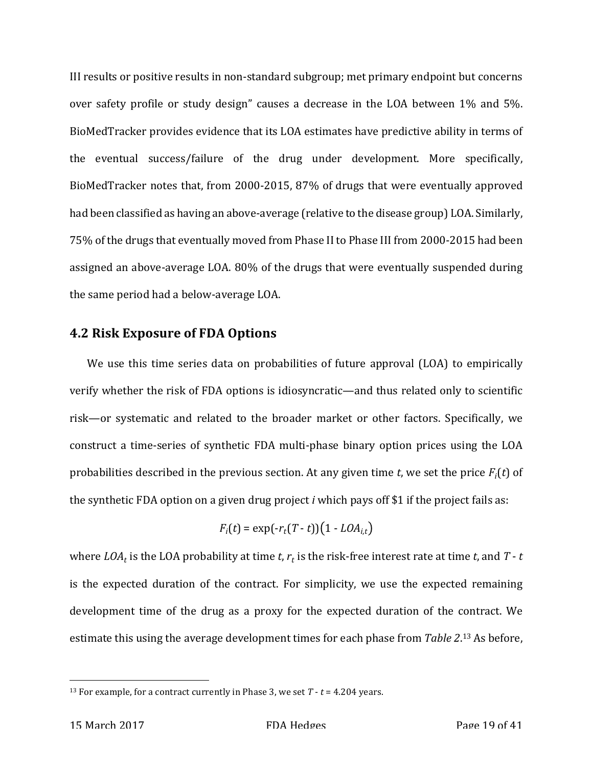III results or positive results in non-standard subgroup; met primary endpoint but concerns over safety profile or study design" causes a decrease in the LOA between 1% and 5%. BioMedTracker provides evidence that its LOA estimates have predictive ability in terms of the eventual success/failure of the drug under development. More specifically, BioMedTracker notes that, from 2000-2015, 87% of drugs that were eventually approved had been classified as having an above-average (relative to the disease group) LOA. Similarly, 75% of the drugs that eventually moved from Phase II to Phase III from 2000-2015 had been assigned an above-average LOA. 80% of the drugs that were eventually suspended during the same period had a below-average LOA.

### **4.2 Risk Exposure of FDA Options**

We use this time series data on probabilities of future approval (LOA) to empirically verify whether the risk of FDA options is idiosyncratic—and thus related only to scientific risk—or systematic and related to the broader market or other factors. Specifically, we construct a time-series of synthetic FDA multi-phase binary option prices using the LOA probabilities described in the previous section. At any given time  $t$ , we set the price  $F_i(t)$  of the synthetic FDA option on a given drug project *i* which pays off \$1 if the project fails as:

$$
F_i(t) = \exp(-r_t(T-t))(1 - LOA_{i,t})
$$

where  $LOA_t$  is the LOA probability at time *t*,  $r_t$  is the risk-free interest rate at time *t*, and  $T - t$ is the expected duration of the contract. For simplicity, we use the expected remaining development time of the drug as a proxy for the expected duration of the contract. We estimate this using the average development times for each phase from *Table 2*.<sup>13</sup> As before,

<sup>&</sup>lt;sup>13</sup> For example, for a contract currently in Phase 3, we set  $T - t = 4.204$  years.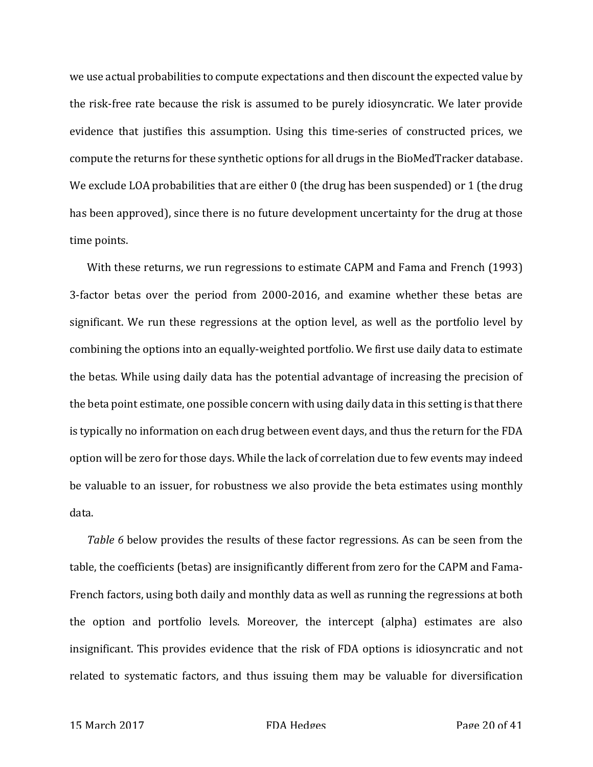we use actual probabilities to compute expectations and then discount the expected value by the risk-free rate because the risk is assumed to be purely idiosyncratic. We later provide evidence that justifies this assumption. Using this time-series of constructed prices, we compute the returns for these synthetic options for all drugs in the BioMedTracker database. We exclude LOA probabilities that are either  $0$  (the drug has been suspended) or 1 (the drug has been approved), since there is no future development uncertainty for the drug at those time points.

With these returns, we run regressions to estimate CAPM and Fama and French (1993) 3-factor betas over the period from 2000-2016, and examine whether these betas are significant. We run these regressions at the option level, as well as the portfolio level by combining the options into an equally-weighted portfolio. We first use daily data to estimate the betas. While using daily data has the potential advantage of increasing the precision of the beta point estimate, one possible concern with using daily data in this setting is that there is typically no information on each drug between event days, and thus the return for the FDA option will be zero for those days. While the lack of correlation due to few events may indeed be valuable to an issuer, for robustness we also provide the beta estimates using monthly data. 

*Table* 6 below provides the results of these factor regressions. As can be seen from the table, the coefficients (betas) are insignificantly different from zero for the CAPM and Fama-French factors, using both daily and monthly data as well as running the regressions at both the option and portfolio levels. Moreover, the intercept (alpha) estimates are also insignificant. This provides evidence that the risk of FDA options is idiosyncratic and not related to systematic factors, and thus issuing them may be valuable for diversification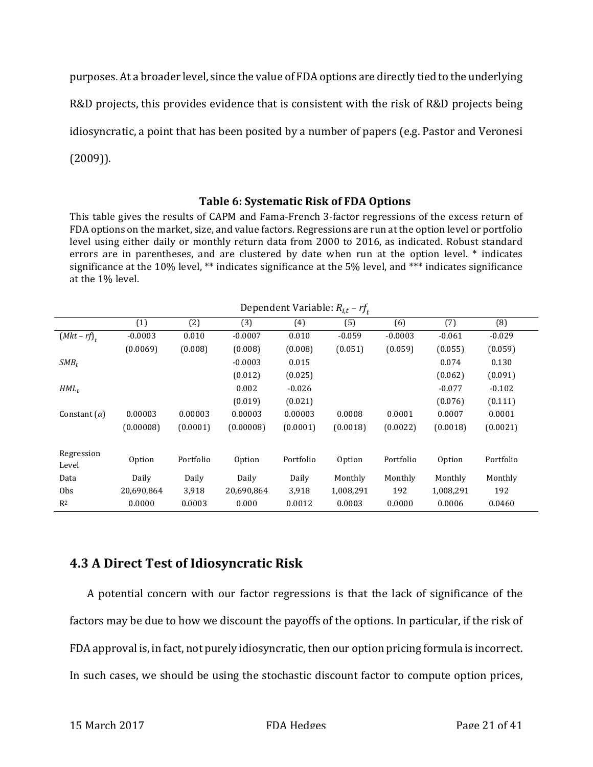purposes. At a broader level, since the value of FDA options are directly tied to the underlying

R&D projects, this provides evidence that is consistent with the risk of R&D projects being

idiosyncratic, a point that has been posited by a number of papers (e.g. Pastor and Veronesi

(2009)). 

#### **Table 6: Systematic Risk of FDA Options**

This table gives the results of CAPM and Fama-French 3-factor regressions of the excess return of FDA options on the market, size, and value factors. Regressions are run at the option level or portfolio level using either daily or monthly return data from 2000 to 2016, as indicated. Robust standard errors are in parentheses, and are clustered by date when run at the option level. \* indicates significance at the 10% level, \*\* indicates significance at the 5% level, and \*\*\* indicates significance at the 1% level.

|                     |            |           |            | Dependent variable: $\kappa_{i,t}$ – $r_{\mathcal{T}_t}$ |           |           |           |           |  |
|---------------------|------------|-----------|------------|----------------------------------------------------------|-----------|-----------|-----------|-----------|--|
|                     | (1)        | (2)       | (3)        | (4)                                                      | (5)       | (6)       | (7)       | (8)       |  |
| $(Mkt-rf)_{r}$      | $-0.0003$  | 0.010     | $-0.0007$  | 0.010                                                    | $-0.059$  | $-0.0003$ | $-0.061$  | $-0.029$  |  |
|                     | (0.0069)   | (0.008)   | (0.008)    | (0.008)                                                  | (0.051)   | (0.059)   | (0.055)   | (0.059)   |  |
| $SMB_t$             |            |           | $-0.0003$  | 0.015                                                    |           |           | 0.074     | 0.130     |  |
|                     |            |           | (0.012)    | (0.025)                                                  |           |           | (0.062)   | (0.091)   |  |
| $HML_t$             |            |           | 0.002      | $-0.026$                                                 |           |           | $-0.077$  | $-0.102$  |  |
|                     |            |           | (0.019)    | (0.021)                                                  |           |           | (0.076)   | (0.111)   |  |
| Constant $(\alpha)$ | 0.00003    | 0.00003   | 0.00003    | 0.00003                                                  | 0.0008    | 0.0001    | 0.0007    | 0.0001    |  |
|                     | (0.00008)  | (0.0001)  | (0.00008)  | (0.0001)                                                 | (0.0018)  | (0.0022)  | (0.0018)  | (0.0021)  |  |
|                     |            |           |            |                                                          |           |           |           |           |  |
| Regression<br>Level | Option     | Portfolio | Option     | Portfolio                                                | Option    | Portfolio | Option    | Portfolio |  |
| Data                | Daily      | Daily     | Daily      | Daily                                                    | Monthly   | Monthly   | Monthly   | Monthly   |  |
| Obs                 | 20,690,864 | 3,918     | 20,690,864 | 3,918                                                    | 1,008,291 | 192       | 1,008,291 | 192       |  |
| R <sup>2</sup>      | 0.0000     | 0.0003    | 0.000      | 0.0012                                                   | 0.0003    | 0.0000    | 0.0006    | 0.0460    |  |

### Dependent Variable: *Ri*,*<sup>t</sup>* – *rft*

### **4.3 A Direct Test of Idiosyncratic Risk**

A potential concern with our factor regressions is that the lack of significance of the factors may be due to how we discount the payoffs of the options. In particular, if the risk of FDA approval is, in fact, not purely idiosyncratic, then our option pricing formula is incorrect. In such cases, we should be using the stochastic discount factor to compute option prices,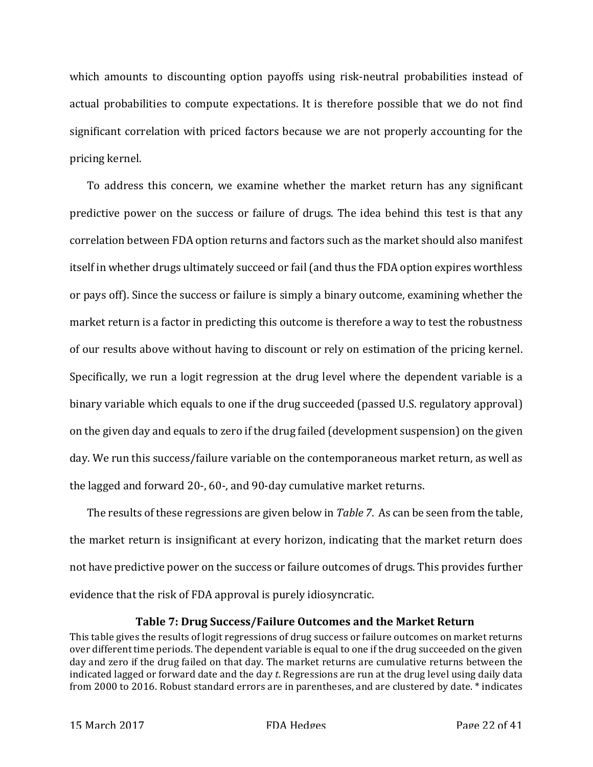which amounts to discounting option payoffs using risk-neutral probabilities instead of actual probabilities to compute expectations. It is therefore possible that we do not find significant correlation with priced factors because we are not properly accounting for the pricing kernel.

To address this concern, we examine whether the market return has any significant predictive power on the success or failure of drugs. The idea behind this test is that any correlation between FDA option returns and factors such as the market should also manifest itself in whether drugs ultimately succeed or fail (and thus the FDA option expires worthless or pays off). Since the success or failure is simply a binary outcome, examining whether the market return is a factor in predicting this outcome is therefore a way to test the robustness of our results above without having to discount or rely on estimation of the pricing kernel. Specifically, we run a logit regression at the drug level where the dependent variable is a binary variable which equals to one if the drug succeeded (passed U.S. regulatory approval) on the given day and equals to zero if the drug failed (development suspension) on the given day. We run this success/failure variable on the contemporaneous market return, as well as the lagged and forward 20-, 60-, and 90-day cumulative market returns.

The results of these regressions are given below in *Table 7*. As can be seen from the table, the market return is insignificant at every horizon, indicating that the market return does not have predictive power on the success or failure outcomes of drugs. This provides further evidence that the risk of FDA approval is purely idiosyncratic.

#### **Table 7: Drug Success/Failure Outcomes and the Market Return**

This table gives the results of logit regressions of drug success or failure outcomes on market returns over different time periods. The dependent variable is equal to one if the drug succeeded on the given day and zero if the drug failed on that day. The market returns are cumulative returns between the indicated lagged or forward date and the day *t*. Regressions are run at the drug level using daily data from 2000 to 2016. Robust standard errors are in parentheses, and are clustered by date. \* indicates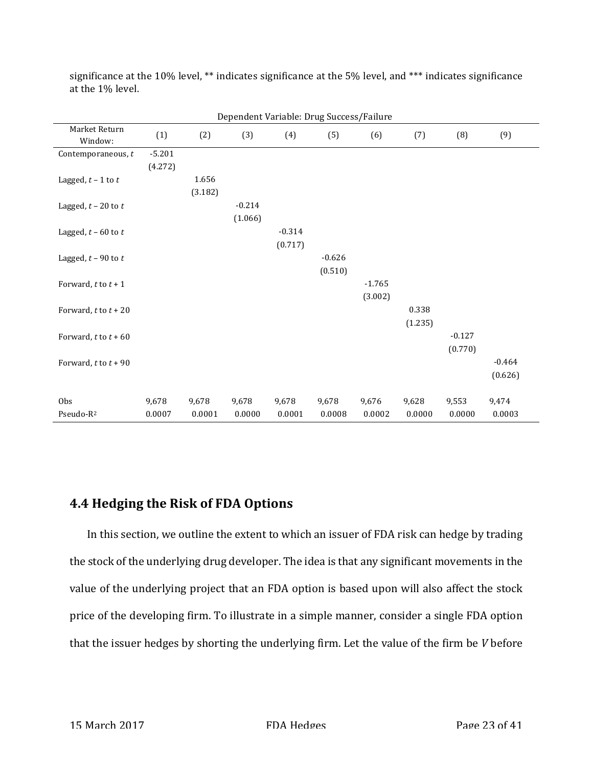|                          | Dependent Variable: Drug Success/Failure |         |          |          |          |          |         |          |          |
|--------------------------|------------------------------------------|---------|----------|----------|----------|----------|---------|----------|----------|
| Market Return<br>Window: | (1)                                      | (2)     | (3)      | (4)      | (5)      | (6)      | (7)     | (8)      | (9)      |
| Contemporaneous, t       | $-5.201$                                 |         |          |          |          |          |         |          |          |
|                          | (4.272)                                  |         |          |          |          |          |         |          |          |
| Lagged, $t - 1$ to $t$   |                                          | 1.656   |          |          |          |          |         |          |          |
|                          |                                          | (3.182) |          |          |          |          |         |          |          |
| Lagged, $t - 20$ to $t$  |                                          |         | $-0.214$ |          |          |          |         |          |          |
|                          |                                          |         | (1.066)  |          |          |          |         |          |          |
| Lagged, $t$ – 60 to $t$  |                                          |         |          | $-0.314$ |          |          |         |          |          |
|                          |                                          |         |          | (0.717)  |          |          |         |          |          |
| Lagged, $t$ - 90 to $t$  |                                          |         |          |          | $-0.626$ |          |         |          |          |
|                          |                                          |         |          |          | (0.510)  |          |         |          |          |
| Forward, $t$ to $t + 1$  |                                          |         |          |          |          | $-1.765$ |         |          |          |
|                          |                                          |         |          |          |          | (3.002)  |         |          |          |
| Forward, $t$ to $t$ + 20 |                                          |         |          |          |          |          | 0.338   |          |          |
|                          |                                          |         |          |          |          |          | (1.235) |          |          |
| Forward, $t$ to $t$ + 60 |                                          |         |          |          |          |          |         | $-0.127$ |          |
|                          |                                          |         |          |          |          |          |         | (0.770)  |          |
| Forward, $t$ to $t$ + 90 |                                          |         |          |          |          |          |         |          | $-0.464$ |
|                          |                                          |         |          |          |          |          |         |          | (0.626)  |
| Obs                      | 9,678                                    | 9,678   | 9,678    | 9,678    | 9,678    | 9,676    | 9,628   | 9,553    | 9,474    |
| Pseudo-R <sup>2</sup>    | 0.0007                                   | 0.0001  | 0.0000   | 0.0001   | 0.0008   | 0.0002   | 0.0000  | 0.0000   | 0.0003   |

significance at the 10% level, \*\* indicates significance at the 5% level, and \*\*\* indicates significance at the 1% level.

### **4.4 Hedging the Risk of FDA Options**

In this section, we outline the extent to which an issuer of FDA risk can hedge by trading the stock of the underlying drug developer. The idea is that any significant movements in the value of the underlying project that an FDA option is based upon will also affect the stock price of the developing firm. To illustrate in a simple manner, consider a single FDA option that the issuer hedges by shorting the underlying firm. Let the value of the firm be *V* before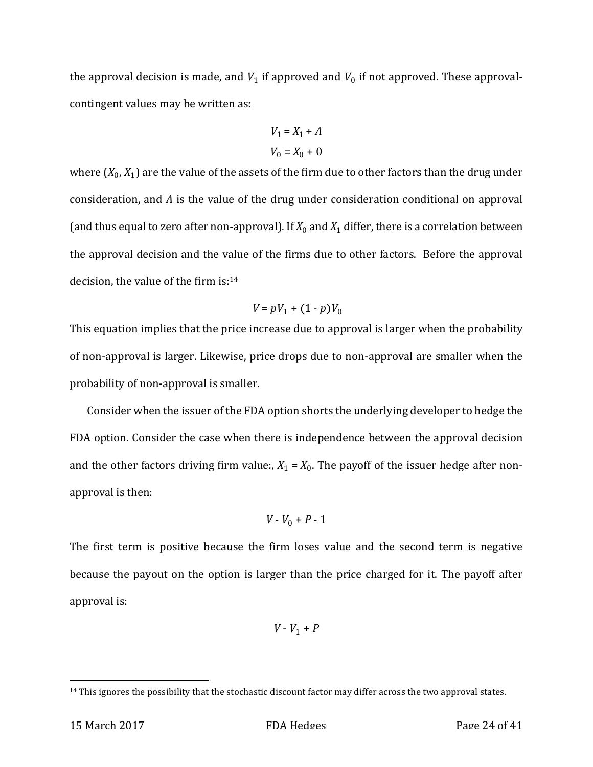the approval decision is made, and  $V_1$  if approved and  $V_0$  if not approved. These approvalcontingent values may be written as:

$$
V_1 = X_1 + A
$$
  

$$
V_0 = X_0 + 0
$$

where  $(X_0, X_1)$  are the value of the assets of the firm due to other factors than the drug under consideration, and *A* is the value of the drug under consideration conditional on approval (and thus equal to zero after non-approval). If  $X_0$  and  $X_1$  differ, there is a correlation between the approval decision and the value of the firms due to other factors. Before the approval decision, the value of the firm is: $14$ 

$$
V = pV_1 + (1-p)V_0
$$

This equation implies that the price increase due to approval is larger when the probability of non-approval is larger. Likewise, price drops due to non-approval are smaller when the probability of non-approval is smaller.

Consider when the issuer of the FDA option shorts the underlying developer to hedge the FDA option. Consider the case when there is independence between the approval decision and the other factors driving firm value:,  $X_1 = X_0$ . The payoff of the issuer hedge after nonapproval is then:

$$
V\cdot V_0+P\cdot 1
$$

The first term is positive because the firm loses value and the second term is negative because the payout on the option is larger than the price charged for it. The payoff after approval is:

$$
V\cdot V_1+P
$$

 $\overline{a}$  $14$  This ignores the possibility that the stochastic discount factor may differ across the two approval states.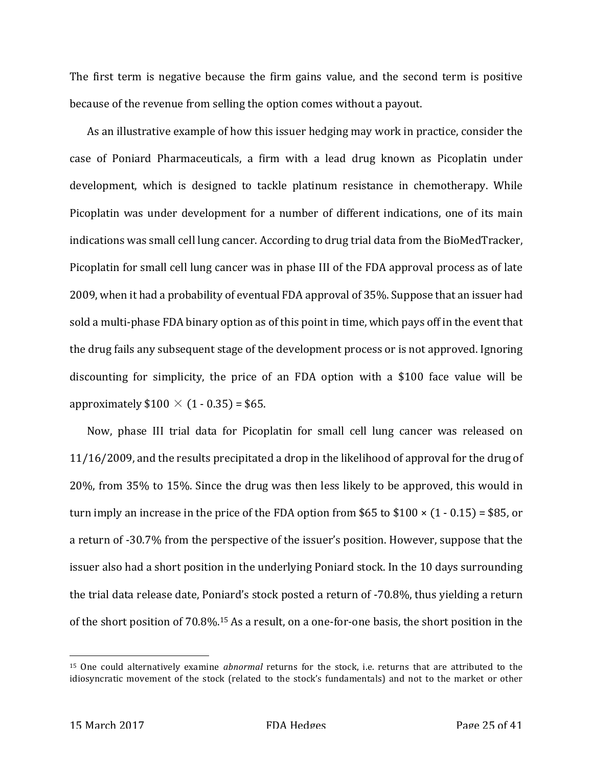The first term is negative because the firm gains value, and the second term is positive because of the revenue from selling the option comes without a payout.

As an illustrative example of how this issuer hedging may work in practice, consider the case of Poniard Pharmaceuticals, a firm with a lead drug known as Picoplatin under development, which is designed to tackle platinum resistance in chemotherapy. While Picoplatin was under development for a number of different indications, one of its main indications was small cell lung cancer. According to drug trial data from the BioMedTracker, Picoplatin for small cell lung cancer was in phase III of the FDA approval process as of late 2009, when it had a probability of eventual FDA approval of 35%. Suppose that an issuer had sold a multi-phase FDA binary option as of this point in time, which pays off in the event that the drug fails any subsequent stage of the development process or is not approved. Ignoring discounting for simplicity, the price of an FDA option with a \$100 face value will be approximately  $$100 \times (1 - 0.35) = $65$ .

Now, phase III trial data for Picoplatin for small cell lung cancer was released on 11/16/2009, and the results precipitated a drop in the likelihood of approval for the drug of 20%, from 35% to 15%. Since the drug was then less likely to be approved, this would in turn imply an increase in the price of the FDA option from \$65 to \$100  $\times$  (1 - 0.15) = \$85, or a return of -30.7% from the perspective of the issuer's position. However, suppose that the issuer also had a short position in the underlying Poniard stock. In the 10 days surrounding the trial data release date, Poniard's stock posted a return of -70.8%, thus yielding a return of the short position of  $70.8\%$ .<sup>15</sup> As a result, on a one-for-one basis, the short position in the

<sup>&</sup>lt;sup>15</sup> One could alternatively examine *abnormal* returns for the stock, i.e. returns that are attributed to the idiosyncratic movement of the stock (related to the stock's fundamentals) and not to the market or other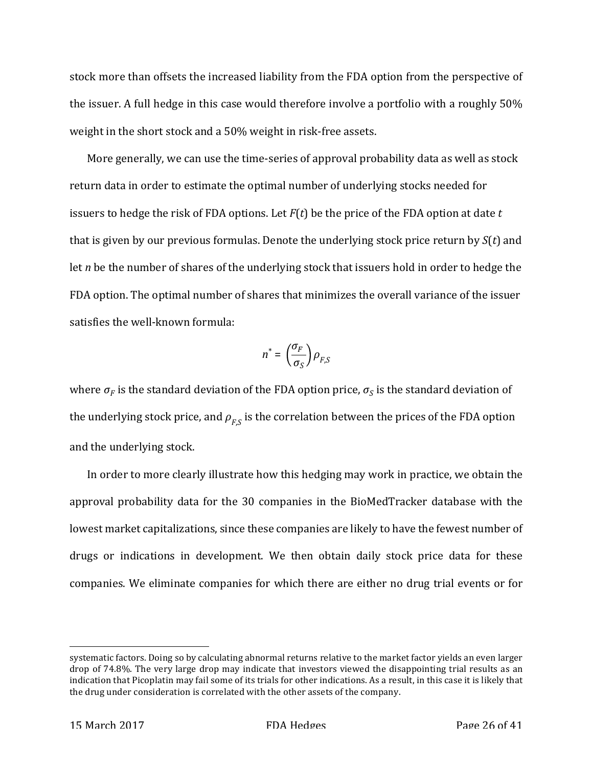stock more than offsets the increased liability from the FDA option from the perspective of the issuer. A full hedge in this case would therefore involve a portfolio with a roughly 50% weight in the short stock and a 50% weight in risk-free assets.

More generally, we can use the time-series of approval probability data as well as stock return data in order to estimate the optimal number of underlying stocks needed for issuers to hedge the risk of FDA options. Let  $F(t)$  be the price of the FDA option at date  $t$ that is given by our previous formulas. Denote the underlying stock price return by  $S(t)$  and let *n* be the number of shares of the underlying stock that issuers hold in order to hedge the FDA option. The optimal number of shares that minimizes the overall variance of the issuer satisfies the well-known formula:

$$
n^* = \left(\frac{\sigma_F}{\sigma_S}\right)\rho_{F,S}
$$

where  $\sigma_F$  is the standard deviation of the FDA option price,  $\sigma_S$  is the standard deviation of the underlying stock price, and  $\rho_{FS}$  is the correlation between the prices of the FDA option and the underlying stock.

In order to more clearly illustrate how this hedging may work in practice, we obtain the approval probability data for the 30 companies in the BioMedTracker database with the lowest market capitalizations, since these companies are likely to have the fewest number of drugs or indications in development. We then obtain daily stock price data for these companies. We eliminate companies for which there are either no drug trial events or for

systematic factors. Doing so by calculating abnormal returns relative to the market factor yields an even larger drop of 74.8%. The very large drop may indicate that investors viewed the disappointing trial results as an indication that Picoplatin may fail some of its trials for other indications. As a result, in this case it is likely that the drug under consideration is correlated with the other assets of the company.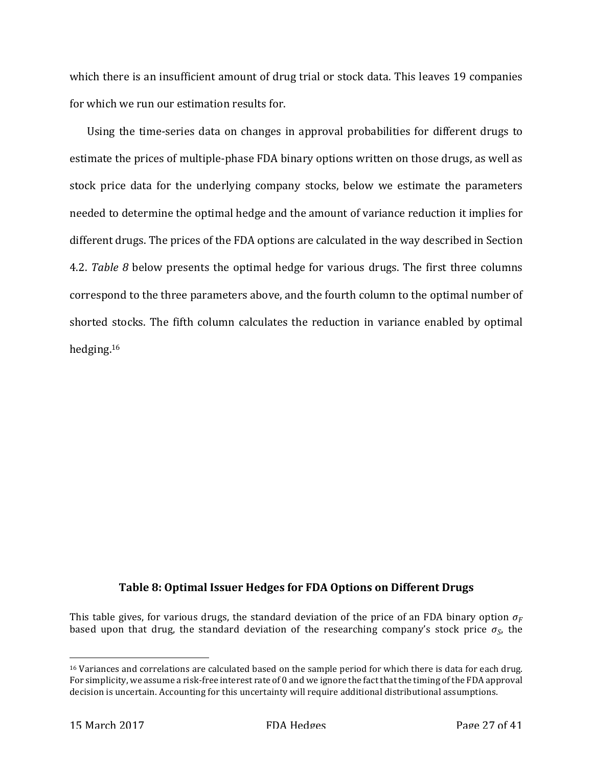which there is an insufficient amount of drug trial or stock data. This leaves 19 companies for which we run our estimation results for.

Using the time-series data on changes in approval probabilities for different drugs to estimate the prices of multiple-phase FDA binary options written on those drugs, as well as stock price data for the underlying company stocks, below we estimate the parameters needed to determine the optimal hedge and the amount of variance reduction it implies for different drugs. The prices of the FDA options are calculated in the way described in Section 4.2. *Table 8* below presents the optimal hedge for various drugs. The first three columns correspond to the three parameters above, and the fourth column to the optimal number of shorted stocks. The fifth column calculates the reduction in variance enabled by optimal hedging.16

#### **Table 8: Optimal Issuer Hedges for FDA Options on Different Drugs**

This table gives, for various drugs, the standard deviation of the price of an FDA binary option  $\sigma_F$ based upon that drug, the standard deviation of the researching company's stock price  $\sigma_S$ , the

 $16$  Variances and correlations are calculated based on the sample period for which there is data for each drug. For simplicity, we assume a risk-free interest rate of  $0$  and we ignore the fact that the timing of the FDA approval decision is uncertain. Accounting for this uncertainty will require additional distributional assumptions.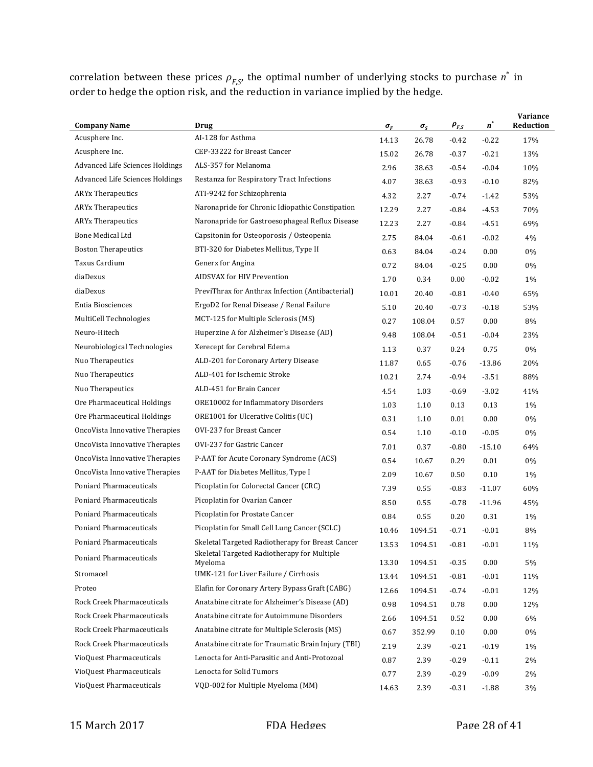| correlation between these prices $\rho_{ES}$ , the optimal number of underlying stocks to purchase $n^*$ in |  |
|-------------------------------------------------------------------------------------------------------------|--|
| order to hedge the option risk, and the reduction in variance implied by the hedge.                         |  |

| <b>Company Name</b>                    | Drug                                                   | $\sigma_F$ | $\sigma_{\rm s}$ | $\rho_{F,S}$ | $n^*$    | Variance<br>Reduction |
|----------------------------------------|--------------------------------------------------------|------------|------------------|--------------|----------|-----------------------|
| Acusphere Inc.                         | AI-128 for Asthma                                      | 14.13      | 26.78            | $-0.42$      | $-0.22$  | 17%                   |
| Acusphere Inc.                         | CEP-33222 for Breast Cancer                            | 15.02      | 26.78            | $-0.37$      | $-0.21$  | 13%                   |
| <b>Advanced Life Sciences Holdings</b> | ALS-357 for Melanoma                                   | 2.96       | 38.63            | $-0.54$      | $-0.04$  | 10%                   |
| Advanced Life Sciences Holdings        | Restanza for Respiratory Tract Infections              | 4.07       | 38.63            | $-0.93$      | $-0.10$  | 82%                   |
| <b>ARYx Therapeutics</b>               | ATI-9242 for Schizophrenia                             | 4.32       | 2.27             | $-0.74$      | $-1.42$  | 53%                   |
| <b>ARYx Therapeutics</b>               | Naronapride for Chronic Idiopathic Constipation        | 12.29      | 2.27             | $-0.84$      | $-4.53$  | 70%                   |
| <b>ARYx Therapeutics</b>               | Naronapride for Gastroesophageal Reflux Disease        | 12.23      | 2.27             | $-0.84$      | $-4.51$  | 69%                   |
| <b>Bone Medical Ltd</b>                | Capsitonin for Osteoporosis / Osteopenia               | 2.75       | 84.04            | $-0.61$      | $-0.02$  | 4%                    |
| <b>Boston Therapeutics</b>             | BTI-320 for Diabetes Mellitus, Type II                 | 0.63       | 84.04            | $-0.24$      | 0.00     | 0%                    |
| Taxus Cardium                          | Generx for Angina                                      | 0.72       | 84.04            | $-0.25$      | 0.00     | 0%                    |
| diaDexus                               | AIDSVAX for HIV Prevention                             | 1.70       | 0.34             | 0.00         | $-0.02$  | 1%                    |
| diaDexus                               | PreviThrax for Anthrax Infection (Antibacterial)       | 10.01      | 20.40            | $-0.81$      | $-0.40$  | 65%                   |
| <b>Entia Biosciences</b>               | ErgoD2 for Renal Disease / Renal Failure               | 5.10       | 20.40            | $-0.73$      | $-0.18$  | 53%                   |
| MultiCell Technologies                 | MCT-125 for Multiple Sclerosis (MS)                    | 0.27       | 108.04           | 0.57         | 0.00     | 8%                    |
| Neuro-Hitech                           | Huperzine A for Alzheimer's Disease (AD)               | 9.48       | 108.04           | $-0.51$      | $-0.04$  | 23%                   |
| Neurobiological Technologies           | Xerecept for Cerebral Edema                            | 1.13       | 0.37             | 0.24         | 0.75     | 0%                    |
| Nuo Therapeutics                       | ALD-201 for Coronary Artery Disease                    | 11.87      | 0.65             | $-0.76$      | $-13.86$ | 20%                   |
| Nuo Therapeutics                       | ALD-401 for Ischemic Stroke                            | 10.21      | 2.74             | $-0.94$      | $-3.51$  | 88%                   |
| Nuo Therapeutics                       | ALD-451 for Brain Cancer                               | 4.54       | 1.03             | $-0.69$      | $-3.02$  | 41%                   |
| Ore Pharmaceutical Holdings            | ORE10002 for Inflammatory Disorders                    | 1.03       | 1.10             | 0.13         | 0.13     | 1%                    |
| Ore Pharmaceutical Holdings            | ORE1001 for Ulcerative Colitis (UC)                    | 0.31       | 1.10             | 0.01         | 0.00     | 0%                    |
| OncoVista Innovative Therapies         | <b>OVI-237 for Breast Cancer</b>                       | 0.54       | 1.10             | $-0.10$      | $-0.05$  | 0%                    |
| OncoVista Innovative Therapies         | OVI-237 for Gastric Cancer                             | 7.01       | 0.37             | $-0.80$      | $-15.10$ | 64%                   |
| OncoVista Innovative Therapies         | P-AAT for Acute Coronary Syndrome (ACS)                | 0.54       | 10.67            | 0.29         | 0.01     | 0%                    |
| OncoVista Innovative Therapies         | P-AAT for Diabetes Mellitus, Type I                    | 2.09       | 10.67            | 0.50         | 0.10     | 1%                    |
| Poniard Pharmaceuticals                | Picoplatin for Colorectal Cancer (CRC)                 | 7.39       | 0.55             | $-0.83$      | $-11.07$ | 60%                   |
| Poniard Pharmaceuticals                | Picoplatin for Ovarian Cancer                          | 8.50       | 0.55             | $-0.78$      | $-11.96$ | 45%                   |
| Poniard Pharmaceuticals                | Picoplatin for Prostate Cancer                         | 0.84       | 0.55             | 0.20         | 0.31     | 1%                    |
| Poniard Pharmaceuticals                | Picoplatin for Small Cell Lung Cancer (SCLC)           | 10.46      | 1094.51          | $-0.71$      | $-0.01$  | 8%                    |
| Poniard Pharmaceuticals                | Skeletal Targeted Radiotherapy for Breast Cancer       | 13.53      | 1094.51          | $-0.81$      | $-0.01$  | 11%                   |
| Poniard Pharmaceuticals                | Skeletal Targeted Radiotherapy for Multiple<br>Myeloma | 13.30      | 1094.51          | $-0.35$      | 0.00     | 5%                    |
| Stromacel                              | UMK-121 for Liver Failure / Cirrhosis                  | 13.44      | 1094.51          | $-0.81$      | $-0.01$  | 11%                   |
| Proteo                                 | Elafin for Coronary Artery Bypass Graft (CABG)         | 12.66      | 1094.51          | $-0.74$      | $-0.01$  | 12%                   |
| Rock Creek Pharmaceuticals             | Anatabine citrate for Alzheimer's Disease (AD)         | 0.98       | 1094.51          | 0.78         | 0.00     | 12%                   |
| Rock Creek Pharmaceuticals             | Anatabine citrate for Autoimmune Disorders             | 2.66       | 1094.51          | 0.52         | 0.00     | 6%                    |
| Rock Creek Pharmaceuticals             | Anatabine citrate for Multiple Sclerosis (MS)          | 0.67       | 352.99           | 0.10         | 0.00     | 0%                    |
| Rock Creek Pharmaceuticals             | Anatabine citrate for Traumatic Brain Injury (TBI)     | 2.19       | 2.39             | $-0.21$      | $-0.19$  | 1%                    |
| VioQuest Pharmaceuticals               | Lenocta for Anti-Parasitic and Anti-Protozoal          | 0.87       | 2.39             | $-0.29$      | $-0.11$  | 2%                    |
| VioQuest Pharmaceuticals               | Lenocta for Solid Tumors                               | 0.77       | 2.39             | $-0.29$      | $-0.09$  | 2%                    |
| VioQuest Pharmaceuticals               | VQD-002 for Multiple Myeloma (MM)                      | 14.63      | 2.39             | $-0.31$      | $-1.88$  | 3%                    |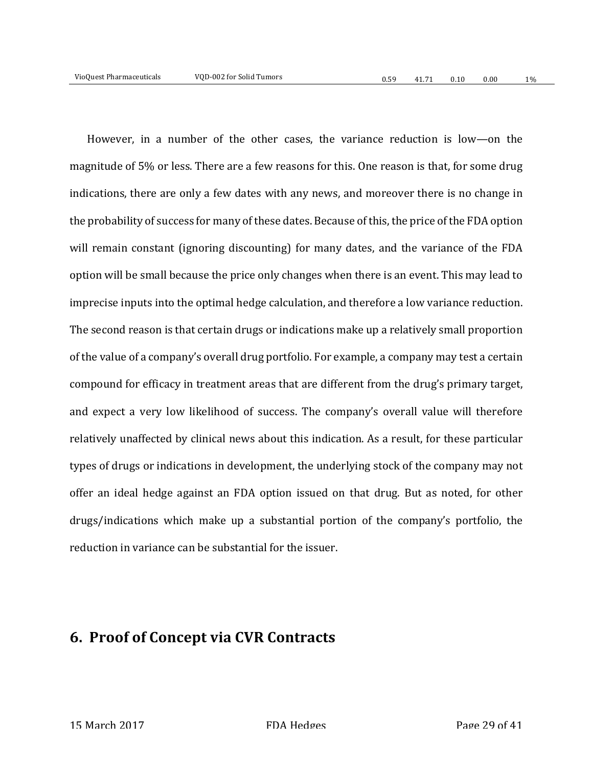However, in a number of the other cases, the variance reduction is low—on the magnitude of 5% or less. There are a few reasons for this. One reason is that, for some drug indications, there are only a few dates with any news, and moreover there is no change in the probability of success for many of these dates. Because of this, the price of the FDA option will remain constant (ignoring discounting) for many dates, and the variance of the FDA option will be small because the price only changes when there is an event. This may lead to imprecise inputs into the optimal hedge calculation, and therefore a low variance reduction. The second reason is that certain drugs or indications make up a relatively small proportion of the value of a company's overall drug portfolio. For example, a company may test a certain compound for efficacy in treatment areas that are different from the drug's primary target, and expect a very low likelihood of success. The company's overall value will therefore relatively unaffected by clinical news about this indication. As a result, for these particular types of drugs or indications in development, the underlying stock of the company may not offer an ideal hedge against an FDA option issued on that drug. But as noted, for other drugs/indications which make up a substantial portion of the company's portfolio, the reduction in variance can be substantial for the issuer.

### **6. Proof of Concept via CVR Contracts**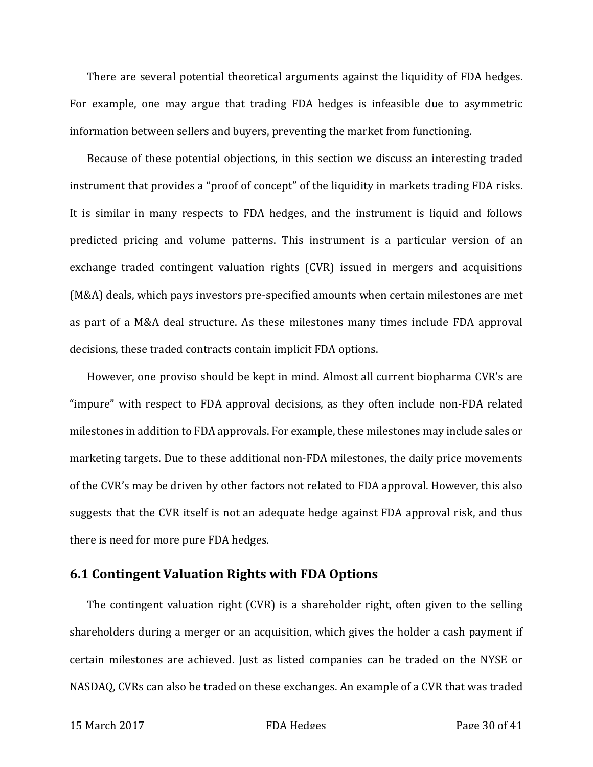There are several potential theoretical arguments against the liquidity of FDA hedges. For example, one may argue that trading FDA hedges is infeasible due to asymmetric information between sellers and buyers, preventing the market from functioning.

Because of these potential objections, in this section we discuss an interesting traded instrument that provides a "proof of concept" of the liquidity in markets trading FDA risks. It is similar in many respects to FDA hedges, and the instrument is liquid and follows predicted pricing and volume patterns. This instrument is a particular version of an exchange traded contingent valuation rights (CVR) issued in mergers and acquisitions (M&A) deals, which pays investors pre-specified amounts when certain milestones are met as part of a M&A deal structure. As these milestones many times include FDA approval decisions, these traded contracts contain implicit FDA options.

However, one proviso should be kept in mind. Almost all current biopharma CVR's are "impure" with respect to FDA approval decisions, as they often include non-FDA related milestones in addition to FDA approvals. For example, these milestones may include sales or marketing targets. Due to these additional non-FDA milestones, the daily price movements of the CVR's may be driven by other factors not related to FDA approval. However, this also suggests that the CVR itself is not an adequate hedge against FDA approval risk, and thus there is need for more pure FDA hedges.

#### **6.1 Contingent Valuation Rights with FDA Options**

The contingent valuation right (CVR) is a shareholder right, often given to the selling shareholders during a merger or an acquisition, which gives the holder a cash payment if certain milestones are achieved. Just as listed companies can be traded on the NYSE or NASDAQ, CVRs can also be traded on these exchanges. An example of a CVR that was traded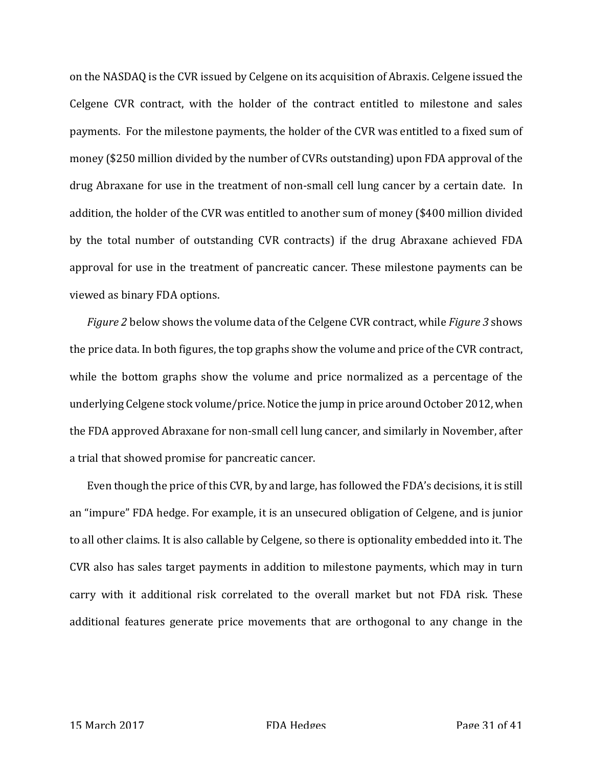on the NASDAQ is the CVR issued by Celgene on its acquisition of Abraxis. Celgene issued the Celgene CVR contract, with the holder of the contract entitled to milestone and sales payments. For the milestone payments, the holder of the CVR was entitled to a fixed sum of money (\$250 million divided by the number of CVRs outstanding) upon FDA approval of the drug Abraxane for use in the treatment of non-small cell lung cancer by a certain date. In addition, the holder of the CVR was entitled to another sum of money (\$400 million divided by the total number of outstanding CVR contracts) if the drug Abraxane achieved FDA approval for use in the treatment of pancreatic cancer. These milestone payments can be viewed as binary FDA options.

*Figure* 2 below shows the volume data of the Celgene CVR contract, while *Figure* 3 shows the price data. In both figures, the top graphs show the volume and price of the CVR contract, while the bottom graphs show the volume and price normalized as a percentage of the underlying Celgene stock volume/price. Notice the jump in price around October 2012, when the FDA approved Abraxane for non-small cell lung cancer, and similarly in November, after a trial that showed promise for pancreatic cancer.

Even though the price of this CVR, by and large, has followed the FDA's decisions, it is still an "impure" FDA hedge. For example, it is an unsecured obligation of Celgene, and is junior to all other claims. It is also callable by Celgene, so there is optionality embedded into it. The CVR also has sales target payments in addition to milestone payments, which may in turn carry with it additional risk correlated to the overall market but not FDA risk. These additional features generate price movements that are orthogonal to any change in the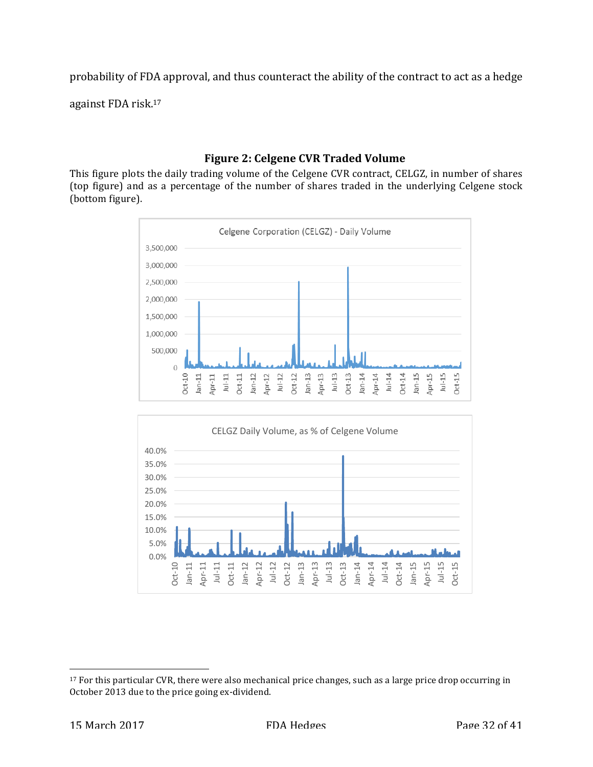probability of FDA approval, and thus counteract the ability of the contract to act as a hedge

against FDA risk.<sup>17</sup>

### **Figure 2: Celgene CVR Traded Volume**

This figure plots the daily trading volume of the Celgene CVR contract, CELGZ, in number of shares (top figure) and as a percentage of the number of shares traded in the underlying Celgene stock (bottom figure).





<sup>&</sup>lt;sup>17</sup> For this particular CVR, there were also mechanical price changes, such as a large price drop occurring in October 2013 due to the price going ex-dividend.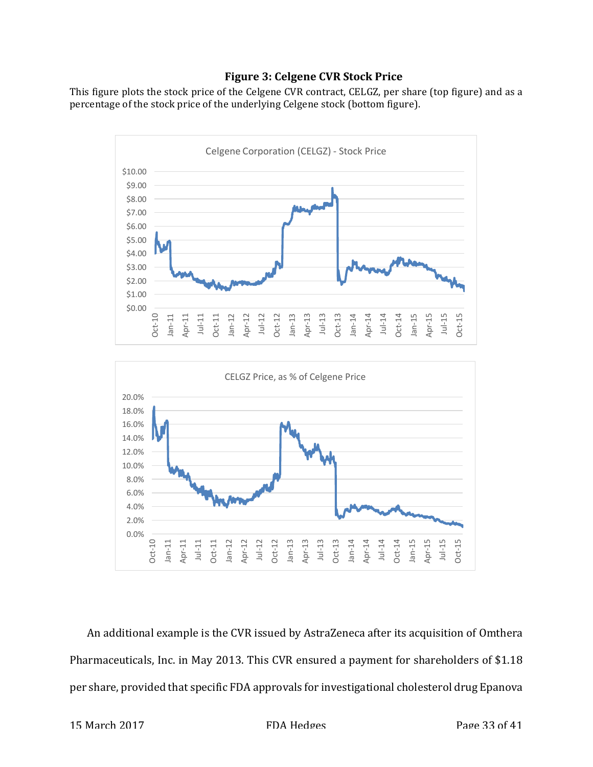### **Figure 3: Celgene CVR Stock Price**

This figure plots the stock price of the Celgene CVR contract, CELGZ, per share (top figure) and as a percentage of the stock price of the underlying Celgene stock (bottom figure).





An additional example is the CVR issued by AstraZeneca after its acquisition of Omthera Pharmaceuticals, Inc. in May 2013. This CVR ensured a payment for shareholders of \$1.18 per share, provided that specific FDA approvals for investigational cholesterol drug Epanova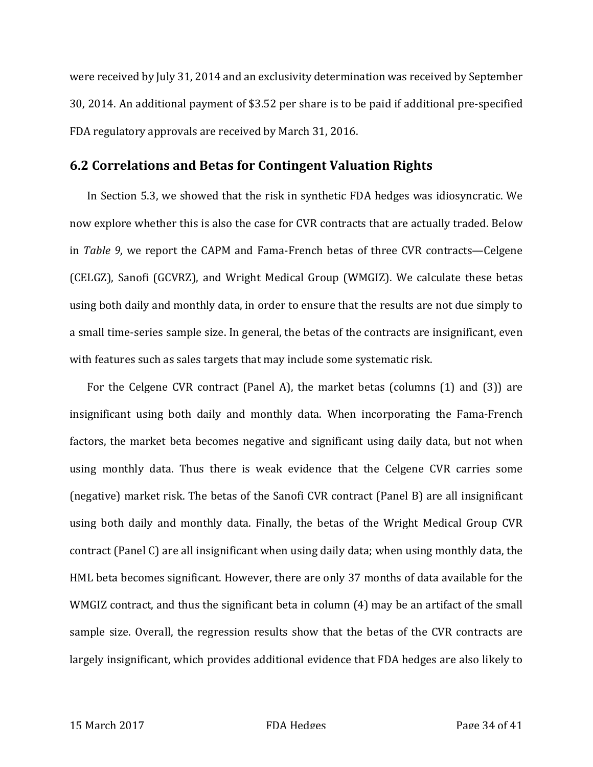were received by July 31, 2014 and an exclusivity determination was received by September 30, 2014. An additional payment of \$3.52 per share is to be paid if additional pre-specified FDA regulatory approvals are received by March 31, 2016.

### **6.2 Correlations and Betas for Contingent Valuation Rights**

In Section 5.3, we showed that the risk in synthetic FDA hedges was idiosyncratic. We now explore whether this is also the case for CVR contracts that are actually traded. Below in *Table* 9, we report the CAPM and Fama-French betas of three CVR contracts—Celgene (CELGZ), Sanofi (GCVRZ), and Wright Medical Group (WMGIZ). We calculate these betas using both daily and monthly data, in order to ensure that the results are not due simply to a small time-series sample size. In general, the betas of the contracts are insignificant, even with features such as sales targets that may include some systematic risk.

For the Celgene CVR contract (Panel A), the market betas (columns  $(1)$  and  $(3)$ ) are insignificant using both daily and monthly data. When incorporating the Fama-French factors, the market beta becomes negative and significant using daily data, but not when using monthly data. Thus there is weak evidence that the Celgene CVR carries some (negative) market risk. The betas of the Sanofi CVR contract (Panel B) are all insignificant using both daily and monthly data. Finally, the betas of the Wright Medical Group CVR contract (Panel C) are all insignificant when using daily data; when using monthly data, the HML beta becomes significant. However, there are only 37 months of data available for the WMGIZ contract, and thus the significant beta in column  $(4)$  may be an artifact of the small sample size. Overall, the regression results show that the betas of the CVR contracts are largely insignificant, which provides additional evidence that FDA hedges are also likely to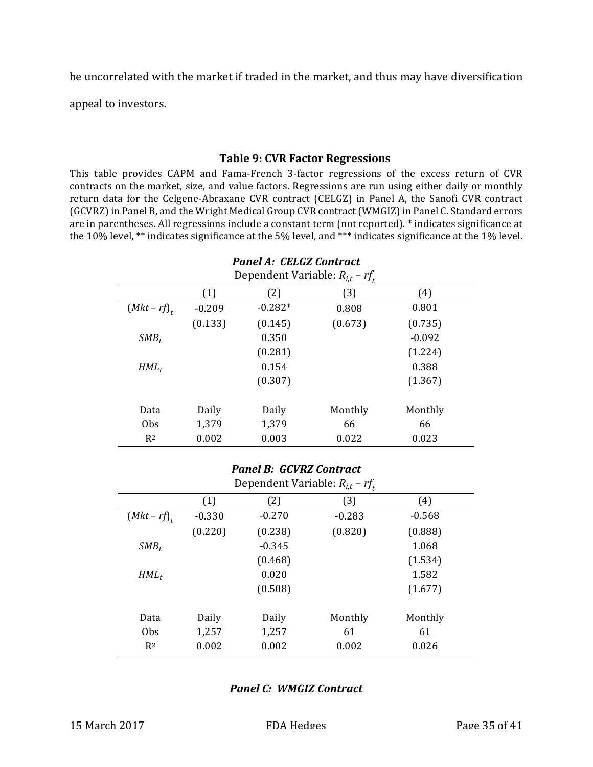be uncorrelated with the market if traded in the market, and thus may have diversification

appeal to investors.

#### **Table 9: CVR Factor Regressions**

This table provides CAPM and Fama-French 3-factor regressions of the excess return of CVR contracts on the market, size, and value factors. Regressions are run using either daily or monthly return data for the Celgene-Abraxane CVR contract (CELGZ) in Panel A, the Sanofi CVR contract (GCVRZ) in Panel B, and the Wright Medical Group CVR contract (WMGIZ) in Panel C. Standard errors are in parentheses. All regressions include a constant term (not reported). \* indicates significance at the 10% level, \*\* indicates significance at the 5% level, and \*\*\* indicates significance at the 1% level.

| <b>Panel A: CELGZ Contract</b><br>Dependent Variable: $R_{i,t}$ – $rf_t$ |          |           |         |          |  |  |  |
|--------------------------------------------------------------------------|----------|-----------|---------|----------|--|--|--|
|                                                                          | (1)      | (2)       | (3)     | (4)      |  |  |  |
| $(Mkt-rf)_{r}$                                                           | $-0.209$ | $-0.282*$ | 0.808   | 0.801    |  |  |  |
|                                                                          | (0.133)  | (0.145)   | (0.673) | (0.735)  |  |  |  |
| $SMB_t$                                                                  |          | 0.350     |         | $-0.092$ |  |  |  |
|                                                                          |          | (0.281)   |         | (1.224)  |  |  |  |
| $HML_t$                                                                  |          | 0.154     |         | 0.388    |  |  |  |
|                                                                          |          | (0.307)   |         | (1.367)  |  |  |  |
| Data                                                                     | Daily    | Daily     | Monthly | Monthly  |  |  |  |
| <b>Obs</b>                                                               | 1,379    | 1,379     | 66      | 66       |  |  |  |
| R <sup>2</sup>                                                           | 0.002    | 0.003     | 0.022   | 0.023    |  |  |  |

#### *Panel B: GCVRZ Contract* Dependent Variable: *Ri*,*<sup>t</sup>* – *rft*

|                | Dependent variable. $N_{i,t} = If_t$ |          |          |          |  |  |
|----------------|--------------------------------------|----------|----------|----------|--|--|
|                | (1)                                  | (2)      | (3)      | (4)      |  |  |
| $(Mkt-rf)_{t}$ | $-0.330$                             | $-0.270$ | $-0.283$ | $-0.568$ |  |  |
|                | (0.220)                              | (0.238)  | (0.820)  | (0.888)  |  |  |
| $SMB_t$        |                                      | $-0.345$ |          | 1.068    |  |  |
|                |                                      | (0.468)  |          | (1.534)  |  |  |
| $HML_t$        |                                      | 0.020    |          | 1.582    |  |  |
|                |                                      | (0.508)  |          | (1.677)  |  |  |
|                |                                      |          |          |          |  |  |
| Data           | Daily                                | Daily    | Monthly  | Monthly  |  |  |
| Obs            | 1,257                                | 1,257    | 61       | 61       |  |  |
| $R^2$          | 0.002                                | 0.002    | 0.002    | 0.026    |  |  |

### *Panel C: WMGIZ Contract*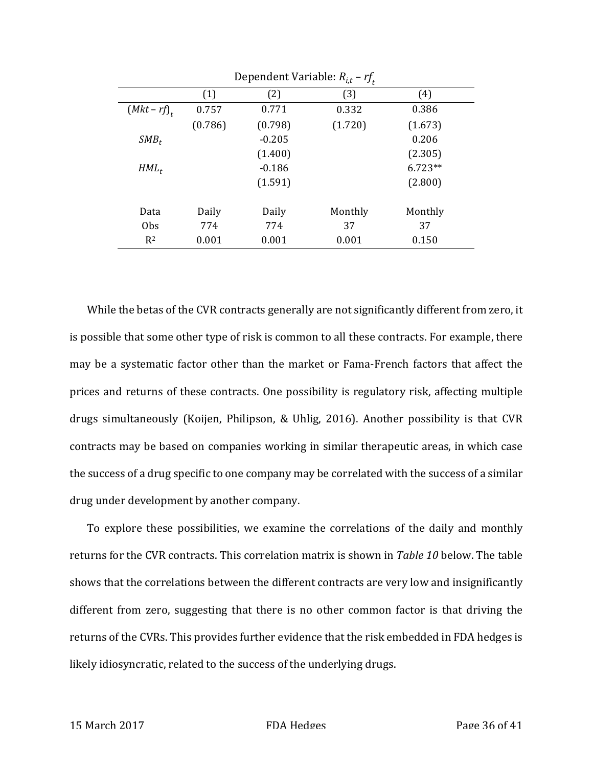|                | Dependent Variable: $R_{i,t}$ – $rf_t$ |          |         |           |  |  |
|----------------|----------------------------------------|----------|---------|-----------|--|--|
|                | (1)                                    | (2)      | (3)     | (4)       |  |  |
| $(Mkt-rf)_{r}$ | 0.757                                  | 0.771    | 0.332   | 0.386     |  |  |
|                | (0.786)                                | (0.798)  | (1.720) | (1.673)   |  |  |
| $SMB_t$        |                                        | $-0.205$ |         | 0.206     |  |  |
|                |                                        | (1.400)  |         | (2.305)   |  |  |
| $HML_t$        |                                        | $-0.186$ |         | $6.723**$ |  |  |
|                |                                        | (1.591)  |         | (2.800)   |  |  |
|                |                                        |          |         |           |  |  |
| Data           | Daily                                  | Daily    | Monthly | Monthly   |  |  |
| Obs            | 774                                    | 774      | 37      | 37        |  |  |
| $R^2$          | 0.001                                  | 0.001    | 0.001   | 0.150     |  |  |

While the betas of the CVR contracts generally are not significantly different from zero, it is possible that some other type of risk is common to all these contracts. For example, there may be a systematic factor other than the market or Fama-French factors that affect the prices and returns of these contracts. One possibility is regulatory risk, affecting multiple drugs simultaneously (Koijen, Philipson, & Uhlig, 2016). Another possibility is that CVR contracts may be based on companies working in similar therapeutic areas, in which case the success of a drug specific to one company may be correlated with the success of a similar drug under development by another company.

To explore these possibilities, we examine the correlations of the daily and monthly returns for the CVR contracts. This correlation matrix is shown in *Table 10* below. The table shows that the correlations between the different contracts are very low and insignificantly different from zero, suggesting that there is no other common factor is that driving the returns of the CVRs. This provides further evidence that the risk embedded in FDA hedges is likely idiosyncratic, related to the success of the underlying drugs.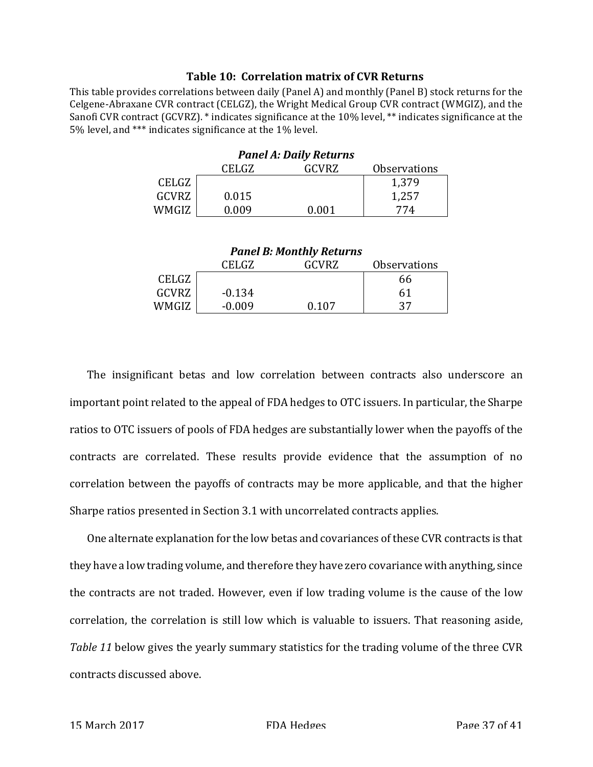#### **Table 10: Correlation matrix of CVR Returns**

This table provides correlations between daily (Panel A) and monthly (Panel B) stock returns for the Celgene-Abraxane CVR contract (CELGZ), the Wright Medical Group CVR contract (WMGIZ), and the Sanofi CVR contract (GCVRZ). \* indicates significance at the 10% level, \*\* indicates significance at the 5% level, and  $***$  indicates significance at the 1% level.

| <b>Panel A: Daily Returns</b>         |       |       |       |  |  |  |
|---------------------------------------|-------|-------|-------|--|--|--|
| GCVRZ<br>CELGZ<br><b>Observations</b> |       |       |       |  |  |  |
| <b>CELGZ</b>                          |       |       | 1,379 |  |  |  |
| <b>GCVRZ</b>                          | 0.015 |       | 1,257 |  |  |  |
| WMGIZ                                 | 0.009 | 0 001 | 774   |  |  |  |

|              | <b>Panel B: Monthly Returns</b> |       |                     |
|--------------|---------------------------------|-------|---------------------|
|              | CELGZ.                          | GCVRZ | <b>Observations</b> |
| <b>CELGZ</b> |                                 |       | 66                  |
| <b>GCVRZ</b> | $-0.134$                        |       | 61                  |
| WMGIZ        | $-0.009$                        | በ 1በ7 | 27                  |

The insignificant betas and low correlation between contracts also underscore an important point related to the appeal of FDA hedges to OTC issuers. In particular, the Sharpe ratios to OTC issuers of pools of FDA hedges are substantially lower when the payoffs of the contracts are correlated. These results provide evidence that the assumption of no correlation between the payoffs of contracts may be more applicable, and that the higher Sharpe ratios presented in Section 3.1 with uncorrelated contracts applies.

One alternate explanation for the low betas and covariances of these CVR contracts is that they have a low trading volume, and therefore they have zero covariance with anything, since the contracts are not traded. However, even if low trading volume is the cause of the low correlation, the correlation is still low which is valuable to issuers. That reasoning aside, *Table 11* below gives the yearly summary statistics for the trading volume of the three CVR contracts discussed above.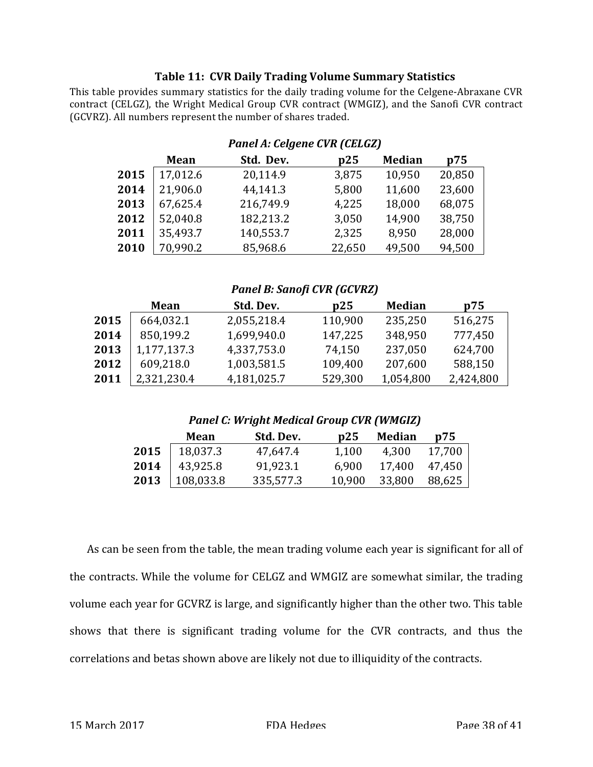#### **Table 11: CVR Daily Trading Volume Summary Statistics**

This table provides summary statistics for the daily trading volume for the Celgene-Abraxane CVR contract (CELGZ), the Wright Medical Group CVR contract (WMGIZ), and the Sanofi CVR contract (GCVRZ). All numbers represent the number of shares traded.

|      | <b>Mean</b> | Std. Dev. | p25    | <b>Median</b> | p75    |
|------|-------------|-----------|--------|---------------|--------|
| 2015 | 17,012.6    | 20,114.9  | 3,875  | 10,950        | 20,850 |
| 2014 | 21,906.0    | 44,141.3  | 5,800  | 11,600        | 23,600 |
| 2013 | 67,625.4    | 216,749.9 | 4,225  | 18,000        | 68,075 |
| 2012 | 52,040.8    | 182,213.2 | 3,050  | 14,900        | 38,750 |
| 2011 | 35,493.7    | 140,553.7 | 2,325  | 8,950         | 28,000 |
| 2010 | 70,990.2    | 85,968.6  | 22,650 | 49,500        | 94,500 |

### **Panel A: Celgene CVR (CELGZ)**

### **Panel B: Sanofi CVR (GCVRZ)**

|      | Mean        | Std. Dev.   | p25     | <b>Median</b> | p75       |
|------|-------------|-------------|---------|---------------|-----------|
| 2015 | 664,032.1   | 2,055,218.4 | 110,900 | 235,250       | 516,275   |
| 2014 | 850,199.2   | 1,699,940.0 | 147,225 | 348,950       | 777,450   |
| 2013 | 1,177,137.3 | 4,337,753.0 | 74,150  | 237,050       | 624,700   |
| 2012 | 609,218.0   | 1,003,581.5 | 109,400 | 207,600       | 588,150   |
| 2011 | 2,321,230.4 | 4,181,025.7 | 529,300 | 1,054,800     | 2,424,800 |

#### *Panel C: Wright Medical Group CVR (WMGIZ)*

|      | Mean               | Std. Dev. | p25    | <b>Median</b> | p75    |
|------|--------------------|-----------|--------|---------------|--------|
| 2015 | $18,037.3$         | 47,647.4  | 1.100  | 4,300         | 17,700 |
|      | $2014$   43,925.8  | 91,923.1  | 6.900  | 17,400        | 47,450 |
|      | $2013$   108,033.8 | 335,577.3 | 10,900 | 33,800        | 88,625 |

As can be seen from the table, the mean trading volume each year is significant for all of the contracts. While the volume for CELGZ and WMGIZ are somewhat similar, the trading volume each year for GCVRZ is large, and significantly higher than the other two. This table shows that there is significant trading volume for the CVR contracts, and thus the correlations and betas shown above are likely not due to illiquidity of the contracts.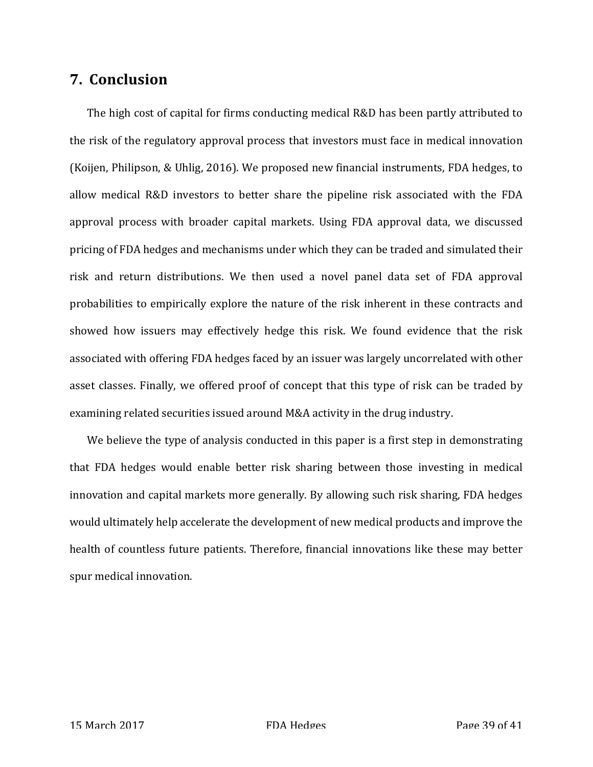# **7. Conclusion**

The high cost of capital for firms conducting medical R&D has been partly attributed to the risk of the regulatory approval process that investors must face in medical innovation (Koijen, Philipson, & Uhlig, 2016). We proposed new financial instruments, FDA hedges, to allow medical R&D investors to better share the pipeline risk associated with the FDA approval process with broader capital markets. Using FDA approval data, we discussed pricing of FDA hedges and mechanisms under which they can be traded and simulated their risk and return distributions. We then used a novel panel data set of FDA approval probabilities to empirically explore the nature of the risk inherent in these contracts and showed how issuers may effectively hedge this risk. We found evidence that the risk associated with offering FDA hedges faced by an issuer was largely uncorrelated with other asset classes. Finally, we offered proof of concept that this type of risk can be traded by examining related securities issued around M&A activity in the drug industry.

We believe the type of analysis conducted in this paper is a first step in demonstrating that FDA hedges would enable better risk sharing between those investing in medical innovation and capital markets more generally. By allowing such risk sharing, FDA hedges would ultimately help accelerate the development of new medical products and improve the health of countless future patients. Therefore, financial innovations like these may better spur medical innovation.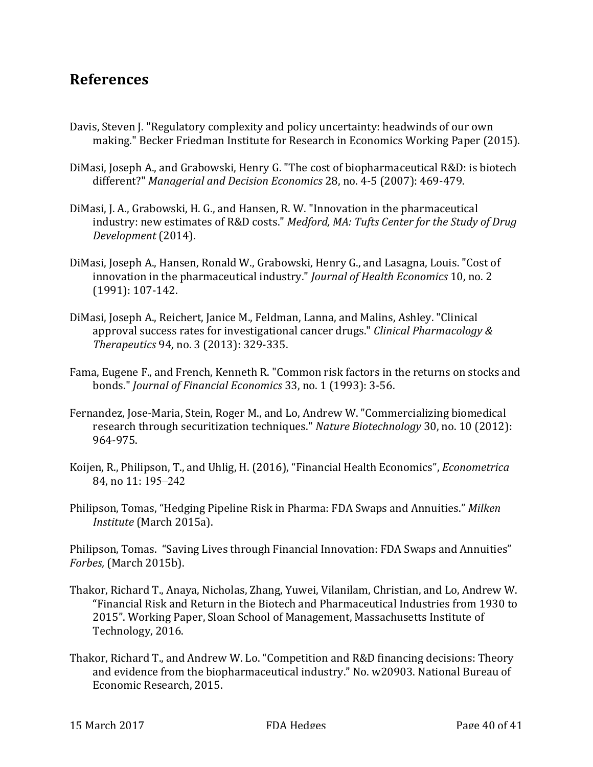# **References**

- Davis, Steven J. "Regulatory complexity and policy uncertainty: headwinds of our own making." Becker Friedman Institute for Research in Economics Working Paper (2015).
- DiMasi, Joseph A., and Grabowski, Henry G. "The cost of biopharmaceutical R&D: is biotech different?" Managerial and Decision Economics 28, no. 4-5 (2007): 469-479.
- DiMasi, J. A., Grabowski, H. G., and Hansen, R. W. "Innovation in the pharmaceutical industry: new estimates of R&D costs." *Medford, MA: Tufts Center for the Study of Drug Development* (2014).
- DiMasi, Joseph A., Hansen, Ronald W., Grabowski, Henry G., and Lasagna, Louis. "Cost of innovation in the pharmaceutical industry." *Journal of Health Economics* 10, no. 2 (1991): 107-142.
- DiMasi, Joseph A., Reichert, Janice M., Feldman, Lanna, and Malins, Ashley. "Clinical approval success rates for investigational cancer drugs." *Clinical Pharmacology & Therapeutics* 94, no. 3 (2013): 329-335.
- Fama, Eugene F., and French, Kenneth R. "Common risk factors in the returns on stocks and bonds." *Journal of Financial Economics* 33, no. 1 (1993): 3-56.
- Fernandez, Jose-Maria, Stein, Roger M., and Lo, Andrew W. "Commercializing biomedical research through securitization techniques." *Nature Biotechnology* 30, no. 10 (2012): 964-975.
- Koijen, R., Philipson, T., and Uhlig, H. (2016), "Financial Health Economics", *Econometrica* 84, no 11: 195-242
- Philipson, Tomas, "Hedging Pipeline Risk in Pharma: FDA Swaps and Annuities." *Milken Institute* (March 2015a).

Philipson, Tomas. "Saving Lives through Financial Innovation: FDA Swaps and Annuities" *Forbes,* (March 2015b). 

- Thakor, Richard T., Anaya, Nicholas, Zhang, Yuwei, Vilanilam, Christian, and Lo, Andrew W. "Financial Risk and Return in the Biotech and Pharmaceutical Industries from 1930 to 2015". Working Paper, Sloan School of Management, Massachusetts Institute of Technology, 2016.
- Thakor, Richard T., and Andrew W. Lo. "Competition and R&D financing decisions: Theory and evidence from the biopharmaceutical industry." No. w20903. National Bureau of Economic Research, 2015.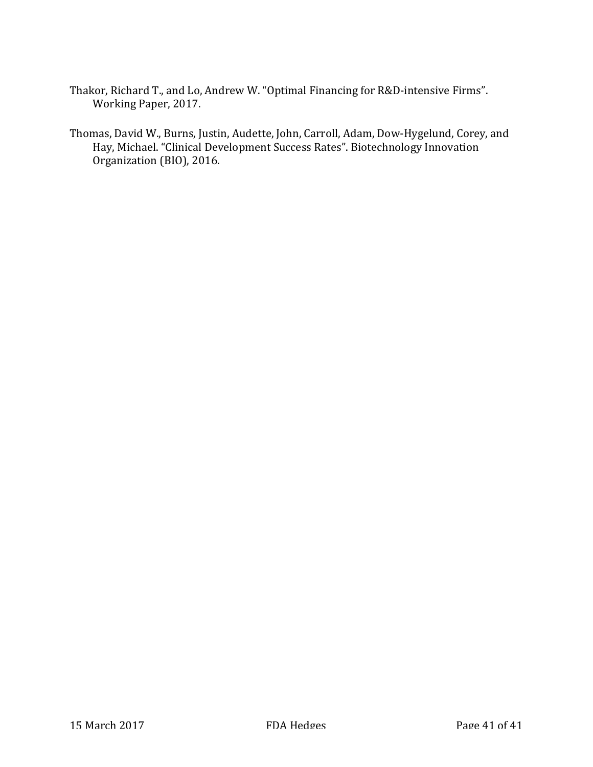- Thakor, Richard T., and Lo, Andrew W. "Optimal Financing for R&D-intensive Firms". Working Paper, 2017.
- Thomas, David W., Burns, Justin, Audette, John, Carroll, Adam, Dow-Hygelund, Corey, and Hay, Michael. "Clinical Development Success Rates". Biotechnology Innovation Organization (BIO), 2016.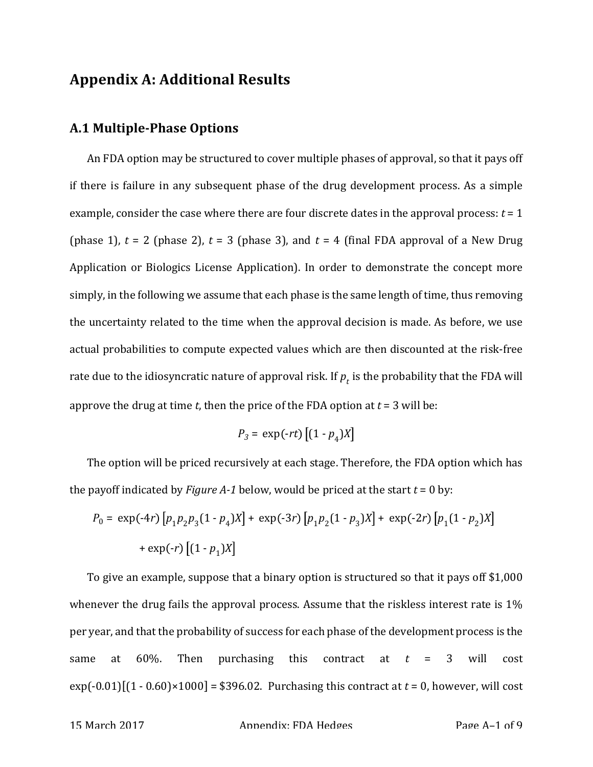## **Appendix A: Additional Results**

### **A.1 Multiple-Phase Options**

An FDA option may be structured to cover multiple phases of approval, so that it pays off if there is failure in any subsequent phase of the drug development process. As a simple example, consider the case where there are four discrete dates in the approval process:  $t = 1$ (phase 1),  $t = 2$  (phase 2),  $t = 3$  (phase 3), and  $t = 4$  (final FDA approval of a New Drug Application or Biologics License Application). In order to demonstrate the concept more simply, in the following we assume that each phase is the same length of time, thus removing the uncertainty related to the time when the approval decision is made. As before, we use actual probabilities to compute expected values which are then discounted at the risk-free rate due to the idiosyncratic nature of approval risk. If  $p_t$  is the probability that the FDA will approve the drug at time *t*, then the price of the FDA option at  $t = 3$  will be:

$$
P_3 = \exp(-rt) \left[ (1 - p_4)X \right]
$$

The option will be priced recursively at each stage. Therefore, the FDA option which has the payoff indicated by *Figure A-1* below, would be priced at the start  $t = 0$  by:

$$
P_0 = \exp(-4r) \left[ p_1 p_2 p_3 (1 - p_4) X \right] + \exp(-3r) \left[ p_1 p_2 (1 - p_3) X \right] + \exp(-2r) \left[ p_1 (1 - p_2) X \right]
$$

$$
+ \exp(-r) \left[ (1 - p_1) X \right]
$$

To give an example, suppose that a binary option is structured so that it pays off \$1,000 whenever the drug fails the approval process. Assume that the riskless interest rate is  $1\%$ per year, and that the probability of success for each phase of the development process is the same at  $60\%$ . Then purchasing this contract at  $t = 3$  will cost  $exp(-0.01)[(1 - 0.60) \times 1000] = $396.02$ . Purchasing this contract at  $t = 0$ , however, will cost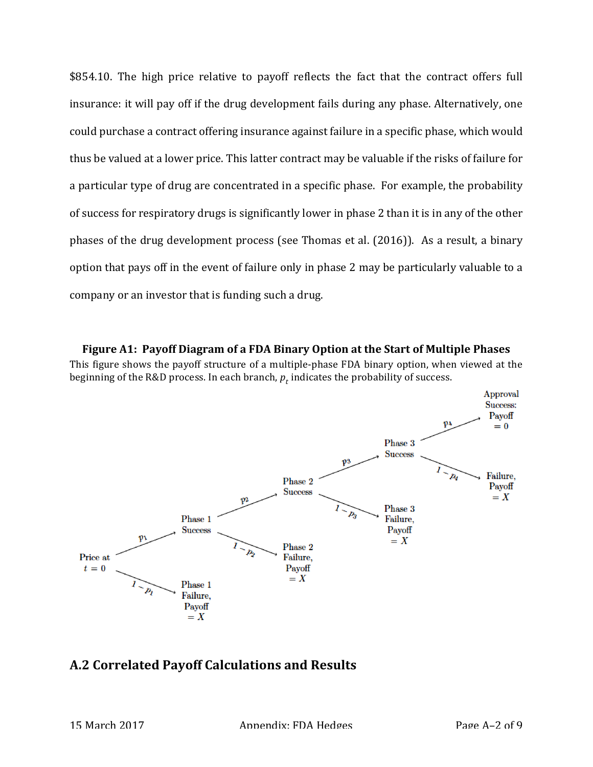\$854.10. The high price relative to payoff reflects the fact that the contract offers full insurance: it will pay off if the drug development fails during any phase. Alternatively, one could purchase a contract offering insurance against failure in a specific phase, which would thus be valued at a lower price. This latter contract may be valuable if the risks of failure for a particular type of drug are concentrated in a specific phase. For example, the probability of success for respiratory drugs is significantly lower in phase 2 than it is in any of the other phases of the drug development process (see Thomas et al.  $(2016)$ ). As a result, a binary option that pays off in the event of failure only in phase 2 may be particularly valuable to a company or an investor that is funding such a drug.

Figure A1: Payoff Diagram of a FDA Binary Option at the Start of Multiple Phases This figure shows the payoff structure of a multiple-phase FDA binary option, when viewed at the beginning of the R&D process. In each branch,  $p_t$  indicates the probability of success.



### **A.2 Correlated Payoff Calculations and Results**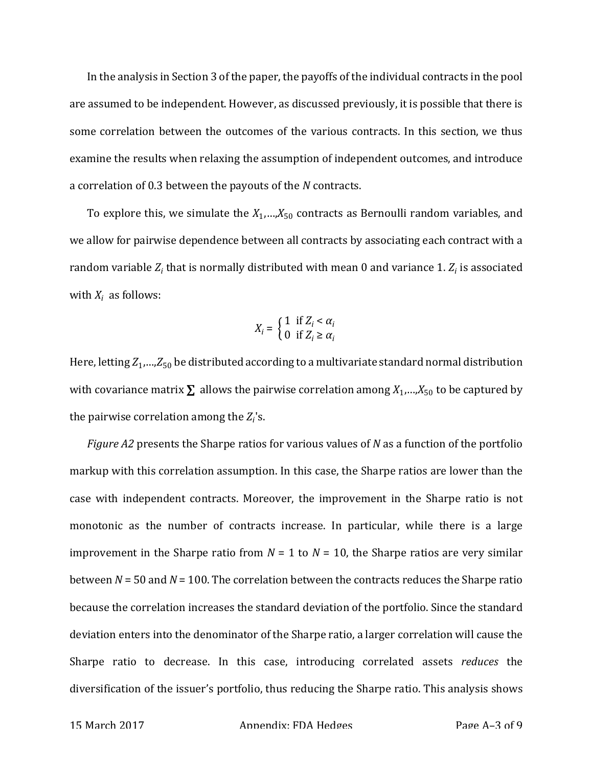In the analysis in Section 3 of the paper, the payoffs of the individual contracts in the pool are assumed to be independent. However, as discussed previously, it is possible that there is some correlation between the outcomes of the various contracts. In this section, we thus examine the results when relaxing the assumption of independent outcomes, and introduce a correlation of 0.3 between the payouts of the *N* contracts.

To explore this, we simulate the  $X_1,...,X_{50}$  contracts as Bernoulli random variables, and we allow for pairwise dependence between all contracts by associating each contract with a random variable  $Z_i$  that is normally distributed with mean 0 and variance 1.  $Z_i$  is associated with  $X_i$  as follows:

$$
X_i = \begin{cases} 1 & \text{if } Z_i < \alpha_i \\ 0 & \text{if } Z_i \ge \alpha_i \end{cases}
$$

Here, letting  $Z_1,...,Z_{50}$  be distributed according to a multivariate standard normal distribution with covariance matrix  $\Sigma$  allows the pairwise correlation among  $X_1,...,X_{50}$  to be captured by the pairwise correlation among the  $Z_i$ 's.

*Figure A2* presents the Sharpe ratios for various values of *N* as a function of the portfolio markup with this correlation assumption. In this case, the Sharpe ratios are lower than the case with independent contracts. Moreover, the improvement in the Sharpe ratio is not monotonic as the number of contracts increase. In particular, while there is a large improvement in the Sharpe ratio from  $N = 1$  to  $N = 10$ , the Sharpe ratios are very similar between  $N = 50$  and  $N = 100$ . The correlation between the contracts reduces the Sharpe ratio because the correlation increases the standard deviation of the portfolio. Since the standard deviation enters into the denominator of the Sharpe ratio, a larger correlation will cause the Sharpe ratio to decrease. In this case, introducing correlated assets *reduces* the diversification of the issuer's portfolio, thus reducing the Sharpe ratio. This analysis shows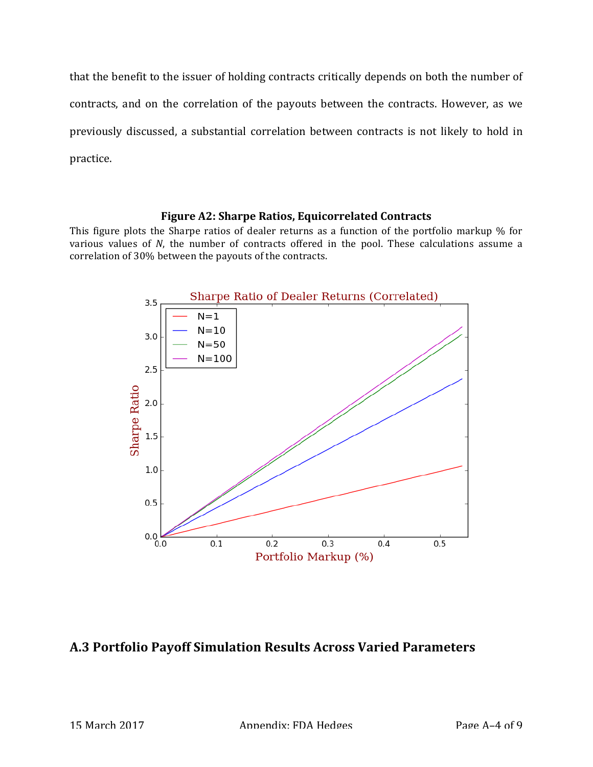that the benefit to the issuer of holding contracts critically depends on both the number of contracts, and on the correlation of the payouts between the contracts. However, as we previously discussed, a substantial correlation between contracts is not likely to hold in practice.

#### **Figure A2: Sharpe Ratios, Equicorrelated Contracts**

This figure plots the Sharpe ratios of dealer returns as a function of the portfolio markup  $%$  for various values of *N*, the number of contracts offered in the pool. These calculations assume a correlation of 30% between the payouts of the contracts.



### **A.3 Portfolio Payoff Simulation Results Across Varied Parameters**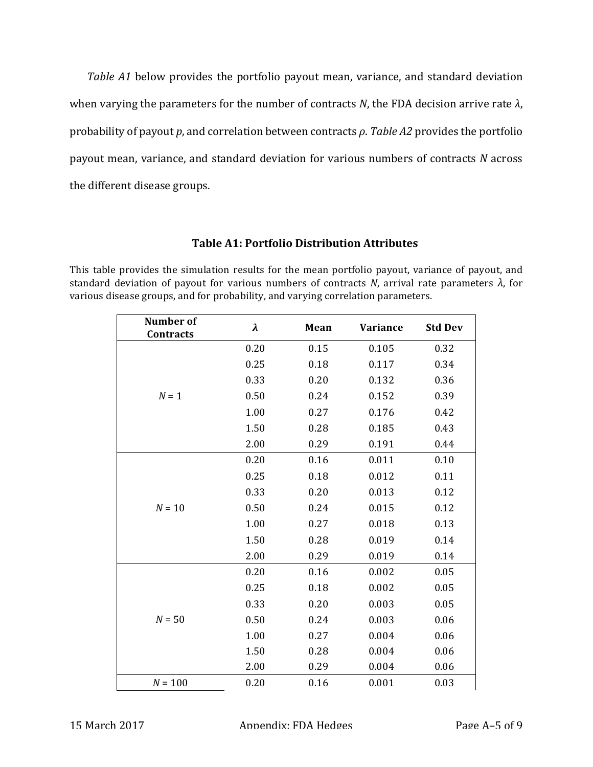*Table A1* below provides the portfolio payout mean, variance, and standard deviation when varying the parameters for the number of contracts  $N$ , the FDA decision arrive rate  $\lambda$ , probability of payout *p*, and correlation between contracts *ρ*. Table A2 provides the portfolio payout mean, variance, and standard deviation for various numbers of contracts *N* across the different disease groups.

### **Table A1: Portfolio Distribution Attributes**

This table provides the simulation results for the mean portfolio payout, variance of payout, and standard deviation of payout for various numbers of contracts *N*, arrival rate parameters  $\lambda$ , for various disease groups, and for probability, and varying correlation parameters.

| Number of<br><b>Contracts</b> | $\lambda$ | Mean | Variance | <b>Std Dev</b> |
|-------------------------------|-----------|------|----------|----------------|
|                               | 0.20      | 0.15 | 0.105    | 0.32           |
|                               | 0.25      | 0.18 | 0.117    | 0.34           |
|                               | 0.33      | 0.20 | 0.132    | 0.36           |
| $N = 1$                       | 0.50      | 0.24 | 0.152    | 0.39           |
|                               | 1.00      | 0.27 | 0.176    | 0.42           |
|                               | 1.50      | 0.28 | 0.185    | 0.43           |
|                               | 2.00      | 0.29 | 0.191    | 0.44           |
|                               | 0.20      | 0.16 | 0.011    | 0.10           |
|                               | 0.25      | 0.18 | 0.012    | 0.11           |
|                               | 0.33      | 0.20 | 0.013    | 0.12           |
| $N = 10$                      | 0.50      | 0.24 | 0.015    | 0.12           |
|                               | 1.00      | 0.27 | 0.018    | 0.13           |
|                               | 1.50      | 0.28 | 0.019    | 0.14           |
|                               | 2.00      | 0.29 | 0.019    | 0.14           |
|                               | 0.20      | 0.16 | 0.002    | 0.05           |
|                               | 0.25      | 0.18 | 0.002    | 0.05           |
|                               | 0.33      | 0.20 | 0.003    | 0.05           |
| $N = 50$                      | 0.50      | 0.24 | 0.003    | 0.06           |
|                               | 1.00      | 0.27 | 0.004    | 0.06           |
|                               | 1.50      | 0.28 | 0.004    | 0.06           |
|                               | 2.00      | 0.29 | 0.004    | 0.06           |
| $N = 100$                     | 0.20      | 0.16 | 0.001    | 0.03           |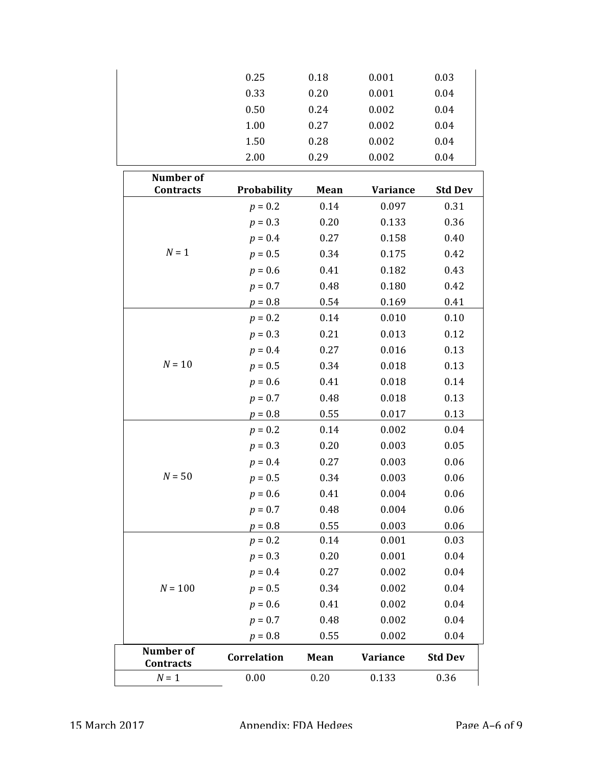| 0.25 | 0.18 | 0.001 | 0.03 |
|------|------|-------|------|
| 0.33 | 0.20 | 0.001 | 0.04 |
| 0.50 | 0.24 | 0.002 | 0.04 |
| 1.00 | 0.27 | 0.002 | 0.04 |
| 1.50 | 0.28 | 0.002 | 0.04 |
| 2.00 | 0.29 | 0.002 | 0.04 |

| <b>Number</b> of              |             |      |                 |                |
|-------------------------------|-------------|------|-----------------|----------------|
| <b>Contracts</b>              | Probability | Mean | <b>Variance</b> | <b>Std Dev</b> |
|                               | $p = 0.2$   | 0.14 | 0.097           | 0.31           |
|                               | $p = 0.3$   | 0.20 | 0.133           | 0.36           |
|                               | $p = 0.4$   | 0.27 | 0.158           | 0.40           |
| $N = 1$                       | $p = 0.5$   | 0.34 | 0.175           | 0.42           |
|                               | $p = 0.6$   | 0.41 | 0.182           | 0.43           |
|                               | $p = 0.7$   | 0.48 | 0.180           | 0.42           |
|                               | $p = 0.8$   | 0.54 | 0.169           | 0.41           |
|                               | $p = 0.2$   | 0.14 | 0.010           | 0.10           |
|                               | $p = 0.3$   | 0.21 | 0.013           | 0.12           |
|                               | $p = 0.4$   | 0.27 | 0.016           | 0.13           |
| $N = 10$                      | $p = 0.5$   | 0.34 | 0.018           | 0.13           |
|                               | $p = 0.6$   | 0.41 | 0.018           | 0.14           |
|                               | $p = 0.7$   | 0.48 | 0.018           | 0.13           |
|                               | $p = 0.8$   | 0.55 | 0.017           | 0.13           |
|                               | $p = 0.2$   | 0.14 | 0.002           | 0.04           |
|                               | $p = 0.3$   | 0.20 | 0.003           | 0.05           |
|                               | $p = 0.4$   | 0.27 | 0.003           | 0.06           |
| $N = 50$                      | $p = 0.5$   | 0.34 | 0.003           | 0.06           |
|                               | $p = 0.6$   | 0.41 | 0.004           | 0.06           |
|                               | $p = 0.7$   | 0.48 | 0.004           | 0.06           |
|                               | $p = 0.8$   | 0.55 | 0.003           | 0.06           |
|                               | $p = 0.2$   | 0.14 | 0.001           | 0.03           |
|                               | $p = 0.3$   | 0.20 | 0.001           | 0.04           |
|                               | $p = 0.4$   | 0.27 | 0.002           | 0.04           |
| $N = 100$                     | $p = 0.5$   | 0.34 | 0.002           | 0.04           |
|                               | $p = 0.6$   | 0.41 | 0.002           | 0.04           |
|                               | $p = 0.7$   | 0.48 | 0.002           | 0.04           |
|                               | $p = 0.8$   | 0.55 | 0.002           | 0.04           |
| Number of<br><b>Contracts</b> | Correlation | Mean | <b>Variance</b> | <b>Std Dev</b> |
| $N = 1$                       | 0.00        | 0.20 | 0.133           | 0.36           |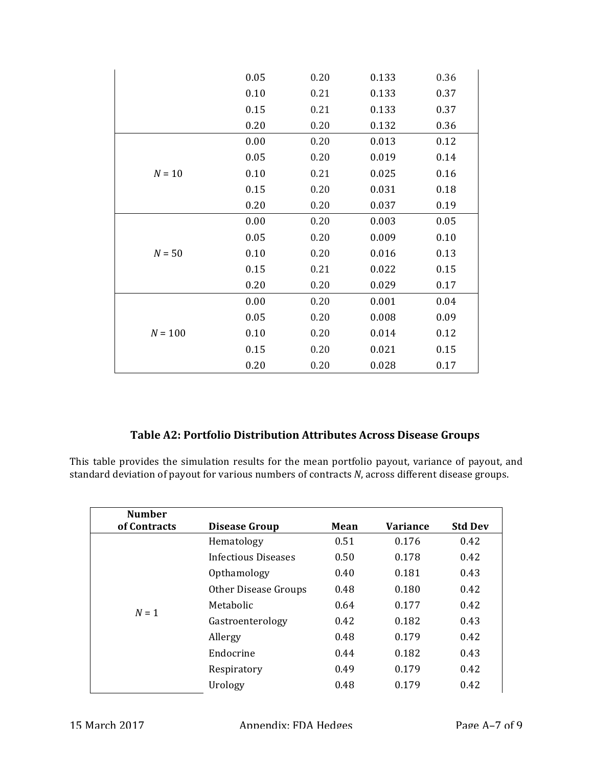|           | 0.05 | 0.20 | 0.133 | 0.36 |
|-----------|------|------|-------|------|
|           | 0.10 | 0.21 | 0.133 | 0.37 |
|           | 0.15 | 0.21 | 0.133 | 0.37 |
|           | 0.20 | 0.20 | 0.132 | 0.36 |
|           | 0.00 | 0.20 | 0.013 | 0.12 |
|           | 0.05 | 0.20 | 0.019 | 0.14 |
| $N = 10$  | 0.10 | 0.21 | 0.025 | 0.16 |
|           | 0.15 | 0.20 | 0.031 | 0.18 |
|           | 0.20 | 0.20 | 0.037 | 0.19 |
|           | 0.00 | 0.20 | 0.003 | 0.05 |
|           | 0.05 | 0.20 | 0.009 | 0.10 |
| $N = 50$  | 0.10 | 0.20 | 0.016 | 0.13 |
|           | 0.15 | 0.21 | 0.022 | 0.15 |
|           | 0.20 | 0.20 | 0.029 | 0.17 |
|           | 0.00 | 0.20 | 0.001 | 0.04 |
|           | 0.05 | 0.20 | 0.008 | 0.09 |
| $N = 100$ | 0.10 | 0.20 | 0.014 | 0.12 |
|           | 0.15 | 0.20 | 0.021 | 0.15 |
|           | 0.20 | 0.20 | 0.028 | 0.17 |

### **Table A2: Portfolio Distribution Attributes Across Disease Groups**

This table provides the simulation results for the mean portfolio payout, variance of payout, and standard deviation of payout for various numbers of contracts *N*, across different disease groups.

| <b>Number</b> |                      |      |                 |                |
|---------------|----------------------|------|-----------------|----------------|
| of Contracts  | <b>Disease Group</b> | Mean | <b>Variance</b> | <b>Std Dev</b> |
| $N=1$         | Hematology           | 0.51 | 0.176           | 0.42           |
|               | Infectious Diseases  | 0.50 | 0.178           | 0.42           |
|               | Opthamology          | 0.40 | 0.181           | 0.43           |
|               | Other Disease Groups | 0.48 | 0.180           | 0.42           |
|               | Metabolic            | 0.64 | 0.177           | 0.42           |
|               | Gastroenterology     | 0.42 | 0.182           | 0.43           |
|               | Allergy              | 0.48 | 0.179           | 0.42           |
|               | Endocrine            | 0.44 | 0.182           | 0.43           |
|               | Respiratory          | 0.49 | 0.179           | 0.42           |
|               | Urology              | 0.48 | 0.179           | 0.42           |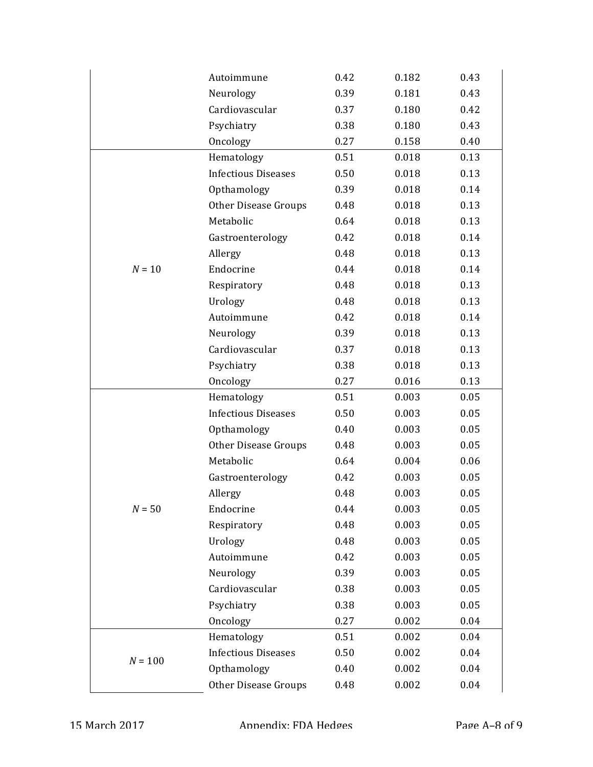|           | Autoimmune                  | 0.42 | 0.182 | 0.43 |
|-----------|-----------------------------|------|-------|------|
|           | Neurology                   | 0.39 | 0.181 | 0.43 |
|           | Cardiovascular              | 0.37 | 0.180 | 0.42 |
|           | Psychiatry                  | 0.38 | 0.180 | 0.43 |
|           | Oncology                    | 0.27 | 0.158 | 0.40 |
|           | Hematology                  | 0.51 | 0.018 | 0.13 |
|           | <b>Infectious Diseases</b>  | 0.50 | 0.018 | 0.13 |
|           | Opthamology                 | 0.39 | 0.018 | 0.14 |
|           | <b>Other Disease Groups</b> | 0.48 | 0.018 | 0.13 |
|           | Metabolic                   | 0.64 | 0.018 | 0.13 |
|           | Gastroenterology            | 0.42 | 0.018 | 0.14 |
|           | Allergy                     | 0.48 | 0.018 | 0.13 |
| $N = 10$  | Endocrine                   | 0.44 | 0.018 | 0.14 |
|           | Respiratory                 | 0.48 | 0.018 | 0.13 |
|           | Urology                     | 0.48 | 0.018 | 0.13 |
|           | Autoimmune                  | 0.42 | 0.018 | 0.14 |
|           | Neurology                   | 0.39 | 0.018 | 0.13 |
|           | Cardiovascular              | 0.37 | 0.018 | 0.13 |
|           | Psychiatry                  | 0.38 | 0.018 | 0.13 |
|           | Oncology                    | 0.27 | 0.016 | 0.13 |
|           | Hematology                  | 0.51 | 0.003 | 0.05 |
|           | <b>Infectious Diseases</b>  | 0.50 | 0.003 | 0.05 |
|           | Opthamology                 | 0.40 | 0.003 | 0.05 |
|           | <b>Other Disease Groups</b> | 0.48 | 0.003 | 0.05 |
|           | Metabolic                   | 0.64 | 0.004 | 0.06 |
|           | Gastroenterology            | 0.42 | 0.003 | 0.05 |
|           | Allergy                     | 0.48 | 0.003 | 0.05 |
| $N = 50$  | Endocrine                   | 0.44 | 0.003 | 0.05 |
|           | Respiratory                 | 0.48 | 0.003 | 0.05 |
|           | Urology                     | 0.48 | 0.003 | 0.05 |
|           | Autoimmune                  | 0.42 | 0.003 | 0.05 |
|           | Neurology                   | 0.39 | 0.003 | 0.05 |
|           | Cardiovascular              | 0.38 | 0.003 | 0.05 |
|           | Psychiatry                  | 0.38 | 0.003 | 0.05 |
|           | Oncology                    | 0.27 | 0.002 | 0.04 |
|           | Hematology                  | 0.51 | 0.002 | 0.04 |
| $N = 100$ | <b>Infectious Diseases</b>  | 0.50 | 0.002 | 0.04 |
|           | Opthamology                 | 0.40 | 0.002 | 0.04 |
|           | <b>Other Disease Groups</b> | 0.48 | 0.002 | 0.04 |